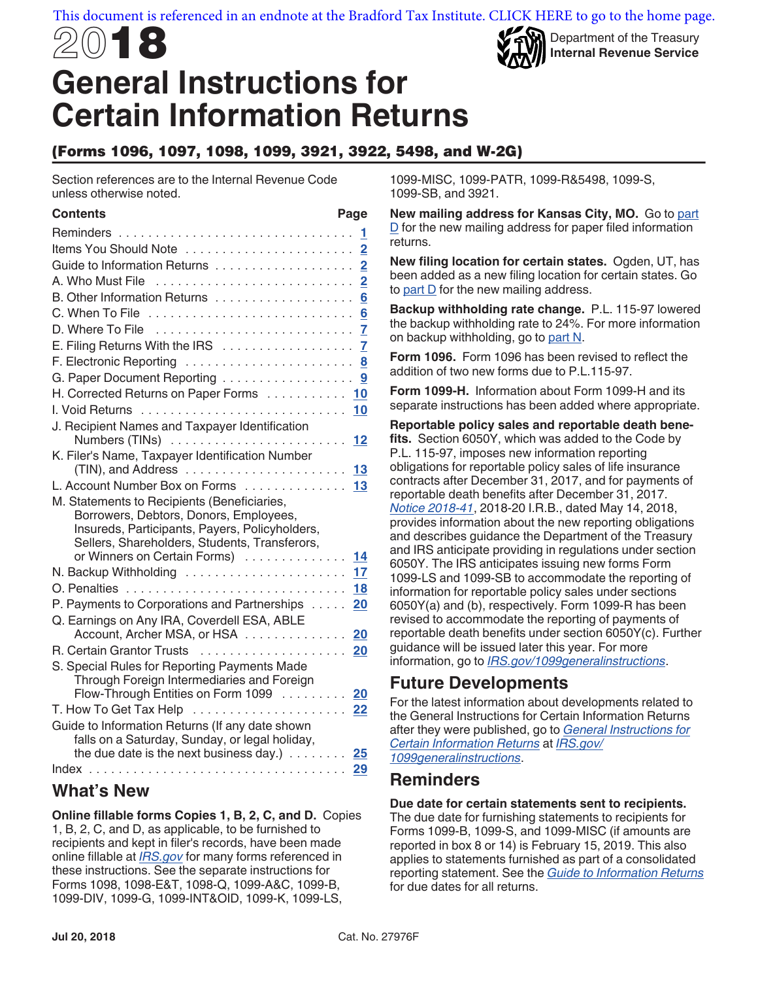# 2018 **General Instructions for Certain Information Returns**

## (Forms 1096, 1097, 1098, 1099, 3921, 3922, 5498, and W-2G)

Section references are to the Internal Revenue Code unless otherwise noted.

#### **Contents Page**

| Guide to Information Returns 2                                                        |           |  |
|---------------------------------------------------------------------------------------|-----------|--|
|                                                                                       |           |  |
|                                                                                       |           |  |
|                                                                                       |           |  |
|                                                                                       |           |  |
|                                                                                       |           |  |
|                                                                                       |           |  |
| G. Paper Document Reporting 9                                                         |           |  |
| H. Corrected Returns on Paper Forms 10                                                |           |  |
|                                                                                       |           |  |
| J. Recipient Names and Taxpayer Identification                                        |           |  |
|                                                                                       | 12        |  |
| K. Filer's Name, Taxpayer Identification Number                                       |           |  |
| L. Account Number Box on Forms 13                                                     | 13        |  |
|                                                                                       |           |  |
| M. Statements to Recipients (Beneficiaries,<br>Borrowers, Debtors, Donors, Employees, |           |  |
| Insureds, Participants, Payers, Policyholders,                                        |           |  |
| Sellers, Shareholders, Students, Transferors,                                         |           |  |
| or Winners on Certain Forms)                                                          | 14        |  |
| N. Backup Withholding                                                                 | 17        |  |
|                                                                                       | <b>18</b> |  |
| P. Payments to Corporations and Partnerships                                          | 20        |  |
| Q. Earnings on Any IRA, Coverdell ESA, ABLE                                           |           |  |
| Account, Archer MSA, or HSA                                                           | 20        |  |
|                                                                                       |           |  |
| S. Special Rules for Reporting Payments Made                                          |           |  |
| Through Foreign Intermediaries and Foreign                                            |           |  |
| Flow-Through Entities on Form 1099 20                                                 |           |  |
|                                                                                       |           |  |
| Guide to Information Returns (If any date shown                                       |           |  |
| falls on a Saturday, Sunday, or legal holiday,                                        |           |  |
| the due date is the next business day.) $\ldots \ldots$ 25                            |           |  |
|                                                                                       |           |  |

### **What's New**

**Online fillable forms Copies 1, B, 2, C, and D.** Copies 1, B, 2, C, and D, as applicable, to be furnished to recipients and kept in filer's records, have been made online fillable at *[IRS.gov](https://www.irs.gov)* for many forms referenced in these instructions. See the separate instructions for Forms 1098, 1098-E&T, 1098-Q, 1099-A&C, 1099-B, 1099-DIV, 1099-G, 1099-INT&OID, 1099-K, 1099-LS,

1099-MISC, 1099-PATR, 1099-R&5498, 1099-S, 1099-SB, and 3921.

**New mailing address for Kansas City, MO.** Go to [part](#page-6-0)  [D](#page-6-0) for the new mailing address for paper filed information returns.

Department of the Treasury **Internal Revenue Service**

**New filing location for certain states.** Ogden, UT, has been added as a new filing location for certain states. Go to [part D](#page-6-0) for the new mailing address.

**Backup withholding rate change.** P.L. 115-97 lowered the backup withholding rate to 24%. For more information on backup withholding, go to [part N](#page-16-0).

**Form 1096.** Form 1096 has been revised to reflect the addition of two new forms due to P.L.115-97.

**Form 1099-H.** Information about Form 1099-H and its separate instructions has been added where appropriate.

**Reportable policy sales and reportable death benefits.** Section 6050Y, which was added to the Code by P.L. 115-97, imposes new information reporting obligations for reportable policy sales of life insurance contracts after December 31, 2017, and for payments of reportable death benefits after December 31, 2017. *[Notice 2018-41](https://www.irs.gov/pub/irs-drop/n-18-41.pdf)*, 2018-20 I.R.B., dated May 14, 2018, provides information about the new reporting obligations and describes guidance the Department of the Treasury and IRS anticipate providing in regulations under section 6050Y. The IRS anticipates issuing new forms Form 1099-LS and 1099-SB to accommodate the reporting of information for reportable policy sales under sections 6050Y(a) and (b), respectively. Form 1099-R has been revised to accommodate the reporting of payments of reportable death benefits under section 6050Y(c). Further guidance will be issued later this year. For more information, go to *[IRS.gov/1099generalinstructions](https://www.irs.gov/uac/About-Form-1099)*.

# **Future Developments**

For the latest information about developments related to the General Instructions for Certain Information Returns after they were published, go to *[General Instructions for](https://www.irs.gov/uac/About-Form-1099)  [Certain Information Returns](https://www.irs.gov/uac/About-Form-1099)* at *[IRS.gov/](https://www.irs.gov/uac/About-Form-1099) [1099generalinstructions](https://www.irs.gov/uac/About-Form-1099)*.

# **Reminders**

#### **Due date for certain statements sent to recipients.**

The due date for furnishing statements to recipients for Forms 1099-B, 1099-S, and 1099-MISC (if amounts are reported in box 8 or 14) is February 15, 2019. This also applies to statements furnished as part of a consolidated reporting statement. See the *[Guide to Information Returns](#page-24-0)*  for due dates for all returns.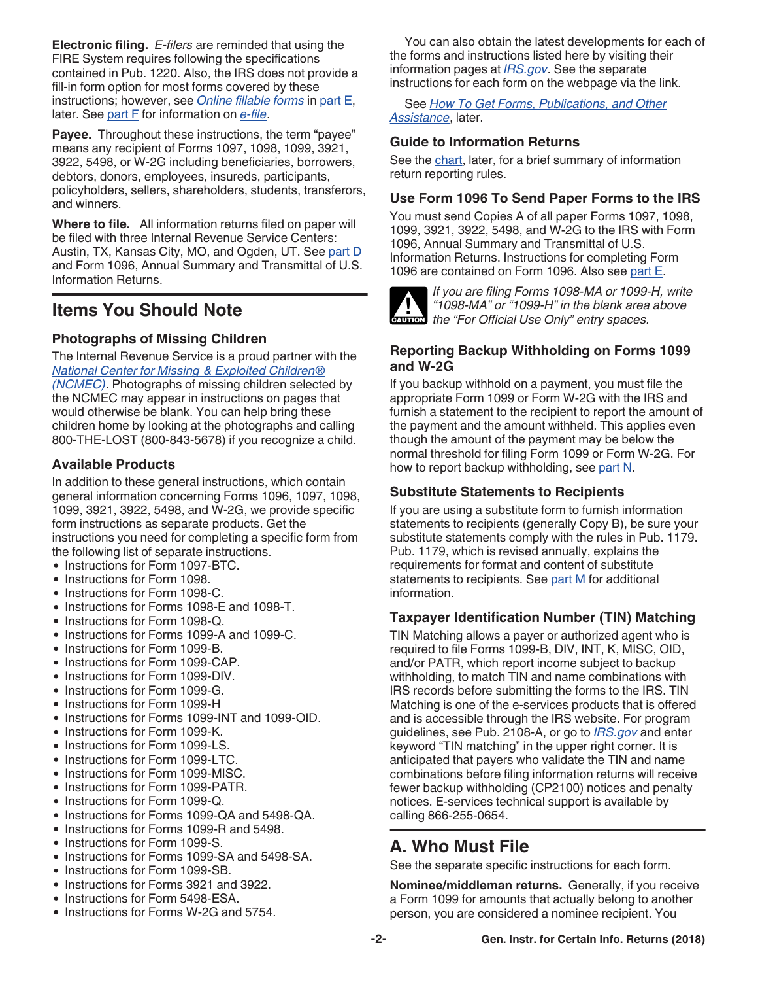<span id="page-1-0"></span>**Electronic filing.** *E-filers* are reminded that using the FIRE System requires following the specifications contained in Pub. 1220. Also, the IRS does not provide a fill-in form option for most forms covered by these instructions; however, see *[Online fillable forms](#page-6-0)* in [part E,](#page-6-0) later. See [part F](#page-7-0) for information on *[e-file](#page-7-0)*.

**Payee.** Throughout these instructions, the term "payee" means any recipient of Forms 1097, 1098, 1099, 3921, 3922, 5498, or W-2G including beneficiaries, borrowers, debtors, donors, employees, insureds, participants, policyholders, sellers, shareholders, students, transferors, and winners.

**Where to file.** All information returns filed on paper will be filed with three Internal Revenue Service Centers: Austin, TX, Kansas City, MO, and Ogden, UT. See [part D](#page-6-0) and Form 1096, Annual Summary and Transmittal of U.S. Information Returns.

# **Items You Should Note**

### **Photographs of Missing Children**

The Internal Revenue Service is a proud partner with the *[National Center for Missing & Exploited Children®](https://www.missingkids.com) [\(NCMEC\)](https://www.missingkids.com)*. Photographs of missing children selected by the NCMEC may appear in instructions on pages that would otherwise be blank. You can help bring these children home by looking at the photographs and calling 800-THE-LOST (800-843-5678) if you recognize a child.

### **Available Products**

In addition to these general instructions, which contain general information concerning Forms 1096, 1097, 1098, 1099, 3921, 3922, 5498, and W-2G, we provide specific form instructions as separate products. Get the instructions you need for completing a specific form from the following list of separate instructions.

- Instructions for Form 1097-BTC.
- Instructions for Form 1098.
- Instructions for Form 1098-C.
- Instructions for Forms 1098-E and 1098-T.
- Instructions for Form 1098-Q.
- Instructions for Forms 1099-A and 1099-C.
- Instructions for Form 1099-B.
- Instructions for Form 1099-CAP.
- Instructions for Form 1099-DIV.
- Instructions for Form 1099-G.
- Instructions for Form 1099-H
- Instructions for Forms 1099-INT and 1099-OID.
- Instructions for Form 1099-K.
- Instructions for Form 1099-LS.
- Instructions for Form 1099-LTC.
- Instructions for Form 1099-MISC.
- Instructions for Form 1099-PATR.
- Instructions for Form 1099-Q.
- Instructions for Forms 1099-QA and 5498-QA.
- Instructions for Forms 1099-R and 5498.
- Instructions for Form 1099-S.
- Instructions for Forms 1099-SA and 5498-SA.
- Instructions for Form 1099-SB.
- Instructions for Forms 3921 and 3922.
- Instructions for Form 5498-ESA.
- Instructions for Forms W-2G and 5754.

You can also obtain the latest developments for each of the forms and instructions listed here by visiting their information pages at *[IRS.gov](https://www.irs.gov)*. See the separate instructions for each form on the webpage via the link.

See *[How To Get Forms, Publications, and Other](#page-21-0)  [Assistance](#page-21-0)*, later.

### **Guide to Information Returns**

See the [chart,](#page-24-0) later, for a brief summary of information return reporting rules.

### **Use Form 1096 To Send Paper Forms to the IRS**

You must send Copies A of all paper Forms 1097, 1098, 1099, 3921, 3922, 5498, and W-2G to the IRS with Form 1096, Annual Summary and Transmittal of U.S. Information Returns. Instructions for completing Form 1096 are contained on Form 1096. Also see [part E](#page-6-0).



*If you are filing Forms 1098-MA or 1099-H, write "1098-MA" or "1099-H" in the blank area above*   $t$ <sup>4</sup> *the "For Official Use Only" entry spaces.*<br> **CAUTION** the "For Official Use Only" entry spaces.

### **Reporting Backup Withholding on Forms 1099 and W-2G**

If you backup withhold on a payment, you must file the appropriate Form 1099 or Form W-2G with the IRS and furnish a statement to the recipient to report the amount of the payment and the amount withheld. This applies even though the amount of the payment may be below the normal threshold for filing Form 1099 or Form W-2G. For how to report backup withholding, see [part N.](#page-16-0)

### **Substitute Statements to Recipients**

If you are using a substitute form to furnish information statements to recipients (generally Copy B), be sure your substitute statements comply with the rules in Pub. 1179. Pub. 1179, which is revised annually, explains the requirements for format and content of substitute statements to recipients. See [part M](#page-13-0) for additional information.

### **Taxpayer Identification Number (TIN) Matching**

TIN Matching allows a payer or authorized agent who is required to file Forms 1099-B, DIV, INT, K, MISC, OID, and/or PATR, which report income subject to backup withholding, to match TIN and name combinations with IRS records before submitting the forms to the IRS. TIN Matching is one of the e-services products that is offered and is accessible through the IRS website. For program guidelines, see Pub. 2108-A, or go to *[IRS.gov](https://www.irs.gov)* and enter keyword "TIN matching" in the upper right corner. It is anticipated that payers who validate the TIN and name combinations before filing information returns will receive fewer backup withholding (CP2100) notices and penalty notices. E-services technical support is available by calling 866-255-0654.

# **A. Who Must File**

See the separate specific instructions for each form.

**Nominee/middleman returns.** Generally, if you receive a Form 1099 for amounts that actually belong to another person, you are considered a nominee recipient. You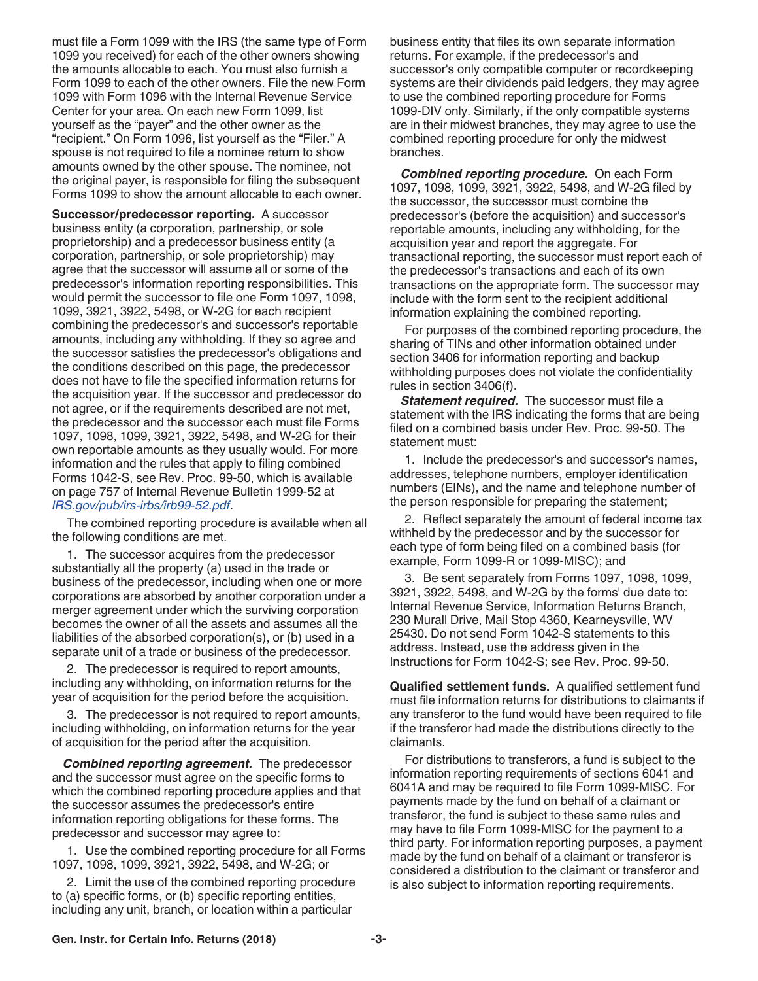<span id="page-2-0"></span>must file a Form 1099 with the IRS (the same type of Form 1099 you received) for each of the other owners showing the amounts allocable to each. You must also furnish a Form 1099 to each of the other owners. File the new Form 1099 with Form 1096 with the Internal Revenue Service Center for your area. On each new Form 1099, list yourself as the "payer" and the other owner as the "recipient." On Form 1096, list yourself as the "Filer." A spouse is not required to file a nominee return to show amounts owned by the other spouse. The nominee, not the original payer, is responsible for filing the subsequent Forms 1099 to show the amount allocable to each owner.

**Successor/predecessor reporting.** A successor business entity (a corporation, partnership, or sole proprietorship) and a predecessor business entity (a corporation, partnership, or sole proprietorship) may agree that the successor will assume all or some of the predecessor's information reporting responsibilities. This would permit the successor to file one Form 1097, 1098, 1099, 3921, 3922, 5498, or W-2G for each recipient combining the predecessor's and successor's reportable amounts, including any withholding. If they so agree and the successor satisfies the predecessor's obligations and the conditions described on this page, the predecessor does not have to file the specified information returns for the acquisition year. If the successor and predecessor do not agree, or if the requirements described are not met, the predecessor and the successor each must file Forms 1097, 1098, 1099, 3921, 3922, 5498, and W-2G for their own reportable amounts as they usually would. For more information and the rules that apply to filing combined Forms 1042-S, see Rev. Proc. 99-50, which is available on page 757 of Internal Revenue Bulletin 1999-52 at *[IRS.gov/pub/irs-irbs/irb99-52.pdf](https://www.irs.gov/pub/irs-irbs/irb99-52.pdf)*.

The combined reporting procedure is available when all the following conditions are met.

1. The successor acquires from the predecessor substantially all the property (a) used in the trade or business of the predecessor, including when one or more corporations are absorbed by another corporation under a merger agreement under which the surviving corporation becomes the owner of all the assets and assumes all the liabilities of the absorbed corporation(s), or (b) used in a separate unit of a trade or business of the predecessor.

2. The predecessor is required to report amounts, including any withholding, on information returns for the year of acquisition for the period before the acquisition.

3. The predecessor is not required to report amounts, including withholding, on information returns for the year of acquisition for the period after the acquisition.

*Combined reporting agreement.* The predecessor and the successor must agree on the specific forms to which the combined reporting procedure applies and that the successor assumes the predecessor's entire information reporting obligations for these forms. The predecessor and successor may agree to:

1. Use the combined reporting procedure for all Forms 1097, 1098, 1099, 3921, 3922, 5498, and W-2G; or

2. Limit the use of the combined reporting procedure to (a) specific forms, or (b) specific reporting entities, including any unit, branch, or location within a particular

business entity that files its own separate information returns. For example, if the predecessor's and successor's only compatible computer or recordkeeping systems are their dividends paid ledgers, they may agree to use the combined reporting procedure for Forms 1099-DIV only. Similarly, if the only compatible systems are in their midwest branches, they may agree to use the combined reporting procedure for only the midwest branches.

*Combined reporting procedure.* On each Form 1097, 1098, 1099, 3921, 3922, 5498, and W-2G filed by the successor, the successor must combine the predecessor's (before the acquisition) and successor's reportable amounts, including any withholding, for the acquisition year and report the aggregate. For transactional reporting, the successor must report each of the predecessor's transactions and each of its own transactions on the appropriate form. The successor may include with the form sent to the recipient additional information explaining the combined reporting.

For purposes of the combined reporting procedure, the sharing of TINs and other information obtained under section 3406 for information reporting and backup withholding purposes does not violate the confidentiality rules in section 3406(f).

*Statement required.* The successor must file a statement with the IRS indicating the forms that are being filed on a combined basis under Rev. Proc. 99-50. The statement must:

1. Include the predecessor's and successor's names, addresses, telephone numbers, employer identification numbers (EINs), and the name and telephone number of the person responsible for preparing the statement;

2. Reflect separately the amount of federal income tax withheld by the predecessor and by the successor for each type of form being filed on a combined basis (for example, Form 1099-R or 1099-MISC); and

3. Be sent separately from Forms 1097, 1098, 1099, 3921, 3922, 5498, and W-2G by the forms' due date to: Internal Revenue Service, Information Returns Branch, 230 Murall Drive, Mail Stop 4360, Kearneysville, WV 25430. Do not send Form 1042-S statements to this address. Instead, use the address given in the Instructions for Form 1042-S; see Rev. Proc. 99-50.

**Qualified settlement funds.** A qualified settlement fund must file information returns for distributions to claimants if any transferor to the fund would have been required to file if the transferor had made the distributions directly to the claimants.

For distributions to transferors, a fund is subject to the information reporting requirements of sections 6041 and 6041A and may be required to file Form 1099-MISC. For payments made by the fund on behalf of a claimant or transferor, the fund is subject to these same rules and may have to file Form 1099-MISC for the payment to a third party. For information reporting purposes, a payment made by the fund on behalf of a claimant or transferor is considered a distribution to the claimant or transferor and is also subject to information reporting requirements.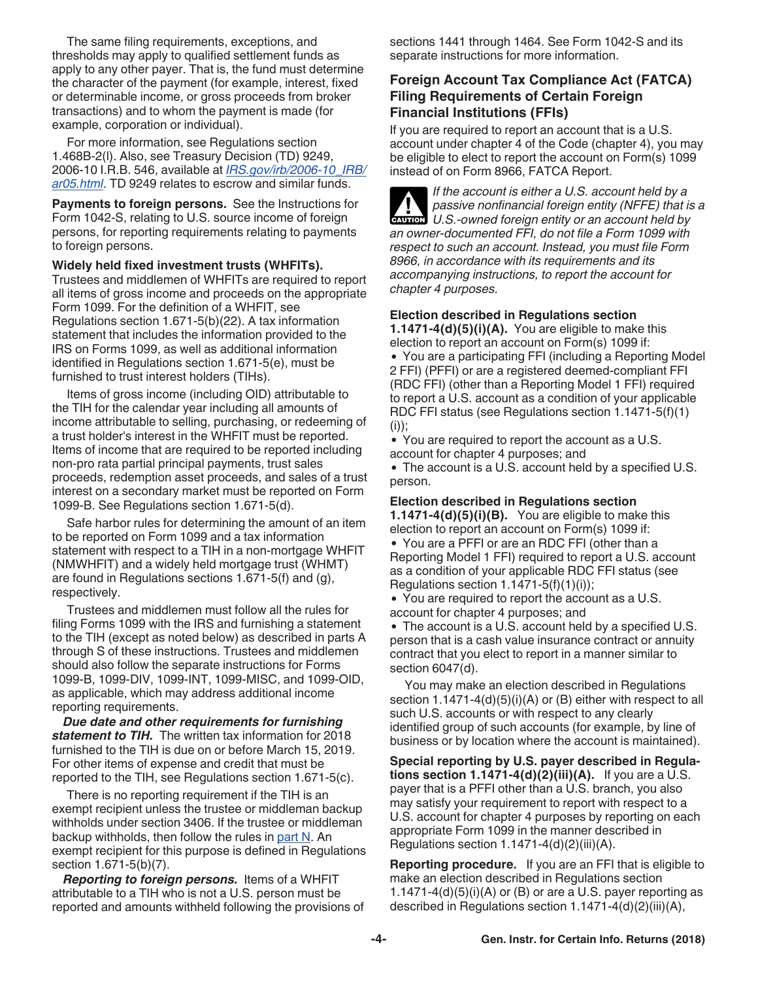<span id="page-3-0"></span>The same filing requirements, exceptions, and thresholds may apply to qualified settlement funds as apply to any other payer. That is, the fund must determine the character of the payment (for example, interest, fixed or determinable income, or gross proceeds from broker transactions) and to whom the payment is made (for example, corporation or individual).

For more information, see Regulations section 1.468B-2(l). Also, see Treasury Decision (TD) 9249, 2006-10 I.R.B. 546, available at *[IRS.gov/irb/2006-10\\_IRB/](https://www.irs.gov/irb/2006-10_IRB/ar05.html) [ar05.html](https://www.irs.gov/irb/2006-10_IRB/ar05.html)*. TD 9249 relates to escrow and similar funds.

**Payments to foreign persons.** See the Instructions for Form 1042-S, relating to U.S. source income of foreign persons, for reporting requirements relating to payments to foreign persons.

#### **Widely held fixed investment trusts (WHFITs).**

Trustees and middlemen of WHFITs are required to report all items of gross income and proceeds on the appropriate Form 1099. For the definition of a WHFIT, see Regulations section 1.671-5(b)(22). A tax information statement that includes the information provided to the IRS on Forms 1099, as well as additional information identified in Regulations section 1.671-5(e), must be furnished to trust interest holders (TIHs).

Items of gross income (including OID) attributable to the TIH for the calendar year including all amounts of income attributable to selling, purchasing, or redeeming of a trust holder's interest in the WHFIT must be reported. Items of income that are required to be reported including non-pro rata partial principal payments, trust sales proceeds, redemption asset proceeds, and sales of a trust interest on a secondary market must be reported on Form 1099-B. See Regulations section 1.671-5(d).

Safe harbor rules for determining the amount of an item to be reported on Form 1099 and a tax information statement with respect to a TIH in a non-mortgage WHFIT (NMWHFIT) and a widely held mortgage trust (WHMT) are found in Regulations sections 1.671-5(f) and (g), respectively.

Trustees and middlemen must follow all the rules for filing Forms 1099 with the IRS and furnishing a statement to the TIH (except as noted below) as described in parts A through S of these instructions. Trustees and middlemen should also follow the separate instructions for Forms 1099-B, 1099-DIV, 1099-INT, 1099-MISC, and 1099-OID, as applicable, which may address additional income reporting requirements.

*Due date and other requirements for furnishing statement to TIH.* The written tax information for 2018 furnished to the TIH is due on or before March 15, 2019. For other items of expense and credit that must be reported to the TIH, see Regulations section 1.671-5(c).

There is no reporting requirement if the TIH is an exempt recipient unless the trustee or middleman backup withholds under section 3406. If the trustee or middleman backup withholds, then follow the rules in [part N.](#page-16-0) An exempt recipient for this purpose is defined in Regulations section 1.671-5(b)(7).

*Reporting to foreign persons.* Items of a WHFIT attributable to a TIH who is not a U.S. person must be reported and amounts withheld following the provisions of sections 1441 through 1464. See Form 1042-S and its separate instructions for more information.

### **Foreign Account Tax Compliance Act (FATCA) Filing Requirements of Certain Foreign Financial Institutions (FFIs)**

If you are required to report an account that is a U.S. account under chapter 4 of the Code (chapter 4), you may be eligible to elect to report the account on Form(s) 1099 instead of on Form 8966, FATCA Report.

*If the account is either a U.S. account held by a passive nonfinancial foreign entity (NFFE) that is a*  **P** passive nonfinancial foreign entity (NFFE) that is **caution** U.S.-owned foreign entity or an account held by *an owner-documented FFI, do not file a Form 1099 with respect to such an account. Instead, you must file Form 8966, in accordance with its requirements and its accompanying instructions, to report the account for chapter 4 purposes.*

#### **Election described in Regulations section**

**1.1471-4(d)(5)(i)(A).** You are eligible to make this election to report an account on Form(s) 1099 if: You are a participating FFI (including a Reporting Model 2 FFI) (PFFI) or are a registered deemed-compliant FFI (RDC FFI) (other than a Reporting Model 1 FFI) required to report a U.S. account as a condition of your applicable RDC FFI status (see Regulations section 1.1471-5(f)(1)  $(i))$ ;

You are required to report the account as a U.S. account for chapter 4 purposes; and

The account is a U.S. account held by a specified U.S. person.

#### **Election described in Regulations section**

**1.1471-4(d)(5)(i)(B).** You are eligible to make this election to report an account on Form(s) 1099 if:

You are a PFFI or are an RDC FFI (other than a Reporting Model 1 FFI) required to report a U.S. account as a condition of your applicable RDC FFI status (see Regulations section 1.1471-5(f)(1)(i));

You are required to report the account as a U.S. account for chapter 4 purposes; and

The account is a U.S. account held by a specified U.S. person that is a cash value insurance contract or annuity contract that you elect to report in a manner similar to section 6047(d).

You may make an election described in Regulations section 1.1471-4(d)(5)(i)(A) or (B) either with respect to all such U.S. accounts or with respect to any clearly identified group of such accounts (for example, by line of business or by location where the account is maintained).

**Special reporting by U.S. payer described in Regulations section 1.1471-4(d)(2)(iii)(A).** If you are a U.S. payer that is a PFFI other than a U.S. branch, you also may satisfy your requirement to report with respect to a U.S. account for chapter 4 purposes by reporting on each appropriate Form 1099 in the manner described in Regulations section 1.1471-4(d)(2)(iii)(A).

**Reporting procedure.** If you are an FFI that is eligible to make an election described in Regulations section  $1.1471-4(d)(5)(i)(A)$  or (B) or are a U.S. payer reporting as described in Regulations section 1.1471-4(d)(2)(iii)(A),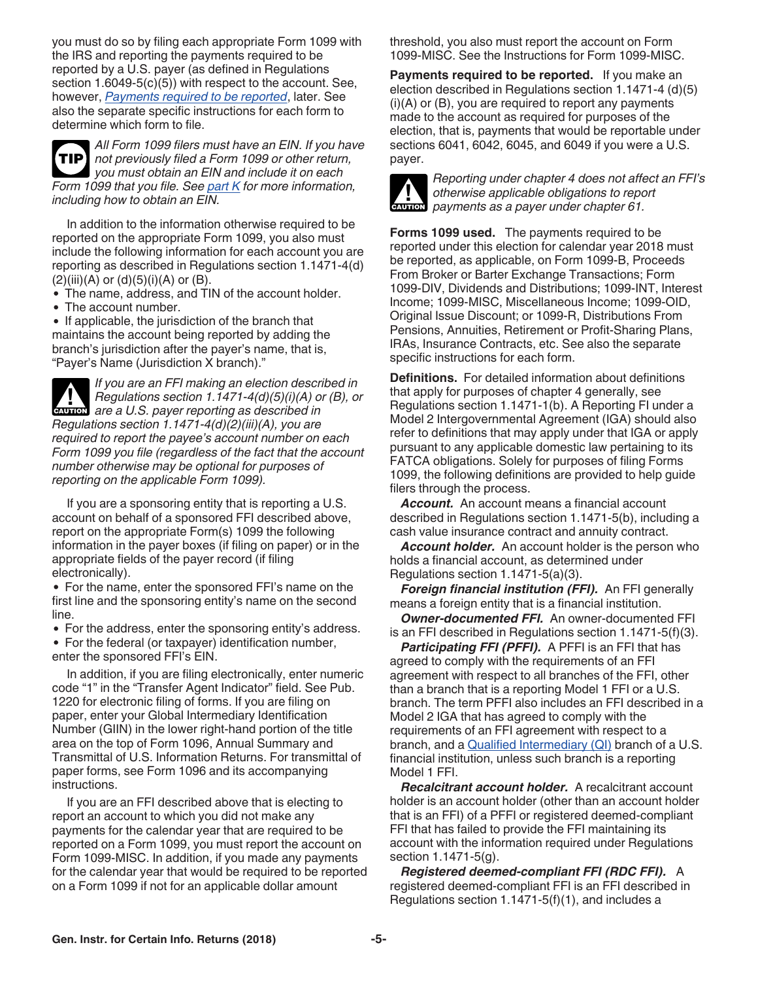you must do so by filing each appropriate Form 1099 with the IRS and reporting the payments required to be reported by a U.S. payer (as defined in Regulations section 1.6049-5(c)(5)) with respect to the account. See, however, *Payments required to be reported*, later. See also the separate specific instructions for each form to determine which form to file.

*All Form 1099 filers must have an EIN. If you have not previously filed a Form 1099 or other return, you must obtain an EIN and include it on each Form 1099 that you file. See [part K](#page-12-0) for more information, including how to obtain an EIN.* **TIP**

In addition to the information otherwise required to be reported on the appropriate Form 1099, you also must include the following information for each account you are reporting as described in Regulations section 1.1471-4(d)  $(2)(iii)(A)$  or  $(d)(5)(i)(A)$  or  $(B)$ .

The name, address, and TIN of the account holder.

• The account number.

• If applicable, the jurisdiction of the branch that maintains the account being reported by adding the branch's jurisdiction after the payer's name, that is, "Payer's Name (Jurisdiction X branch)."

*If you are an FFI making an election described in Regulations section 1.1471-4(d)(5)(i)(A) or (B), or*  **Regulations section 1.1471-4(d)(5)(i)(A) of a union are a U.S. payer reporting as described in** *Regulations section 1.1471-4(d)(2)(iii)(A), you are required to report the payee's account number on each Form 1099 you file (regardless of the fact that the account number otherwise may be optional for purposes of reporting on the applicable Form 1099).*

If you are a sponsoring entity that is reporting a U.S. account on behalf of a sponsored FFI described above, report on the appropriate Form(s) 1099 the following information in the payer boxes (if filing on paper) or in the appropriate fields of the payer record (if filing electronically).

• For the name, enter the sponsored FFI's name on the first line and the sponsoring entity's name on the second line.

For the address, enter the sponsoring entity's address.

• For the federal (or taxpayer) identification number, enter the sponsored FFI's EIN.

In addition, if you are filing electronically, enter numeric code "1" in the "Transfer Agent Indicator" field. See Pub. 1220 for electronic filing of forms. If you are filing on paper, enter your Global Intermediary Identification Number (GIIN) in the lower right-hand portion of the title area on the top of Form 1096, Annual Summary and Transmittal of U.S. Information Returns. For transmittal of paper forms, see Form 1096 and its accompanying instructions.

If you are an FFI described above that is electing to report an account to which you did not make any payments for the calendar year that are required to be reported on a Form 1099, you must report the account on Form 1099-MISC. In addition, if you made any payments for the calendar year that would be required to be reported on a Form 1099 if not for an applicable dollar amount

threshold, you also must report the account on Form 1099-MISC. See the Instructions for Form 1099-MISC.

**Payments required to be reported.** If you make an election described in Regulations section 1.1471-4 (d)(5)  $(i)(A)$  or  $(B)$ , you are required to report any payments made to the account as required for purposes of the election, that is, payments that would be reportable under sections 6041, 6042, 6045, and 6049 if you were a U.S. payer.



*Reporting under chapter 4 does not affect an FFI's otherwise applicable obligations to report*  otherwise applicable obligations to reposition of the payments as a payer under chapter 61.

**Forms 1099 used.** The payments required to be reported under this election for calendar year 2018 must be reported, as applicable, on Form 1099-B, Proceeds From Broker or Barter Exchange Transactions; Form 1099-DIV, Dividends and Distributions; 1099-INT, Interest Income; 1099-MISC, Miscellaneous Income; 1099-OID, Original Issue Discount; or 1099-R, Distributions From Pensions, Annuities, Retirement or Profit-Sharing Plans, IRAs, Insurance Contracts, etc. See also the separate specific instructions for each form.

**Definitions.** For detailed information about definitions that apply for purposes of chapter 4 generally, see Regulations section 1.1471-1(b). A Reporting FI under a Model 2 Intergovernmental Agreement (IGA) should also refer to definitions that may apply under that IGA or apply pursuant to any applicable domestic law pertaining to its FATCA obligations. Solely for purposes of filing Forms 1099, the following definitions are provided to help guide filers through the process.

*Account.* An account means a financial account described in Regulations section 1.1471-5(b), including a cash value insurance contract and annuity contract.

*Account holder.* An account holder is the person who holds a financial account, as determined under Regulations section 1.1471-5(a)(3).

*Foreign financial institution (FFI).* An FFI generally means a foreign entity that is a financial institution.

*Owner-documented FFI.* An owner-documented FFI is an FFI described in Regulations section 1.1471-5(f)(3).

*Participating FFI (PFFI).* A PFFI is an FFI that has agreed to comply with the requirements of an FFI agreement with respect to all branches of the FFI, other than a branch that is a reporting Model 1 FFI or a U.S. branch. The term PFFI also includes an FFI described in a Model 2 IGA that has agreed to comply with the requirements of an FFI agreement with respect to a branch, and a [Qualified Intermediary \(QI\)](#page-19-0) branch of a U.S. financial institution, unless such branch is a reporting Model 1 FFI.

*Recalcitrant account holder.* A recalcitrant account holder is an account holder (other than an account holder that is an FFI) of a PFFI or registered deemed-compliant FFI that has failed to provide the FFI maintaining its account with the information required under Regulations section 1.1471-5(g).

*Registered deemed-compliant FFI (RDC FFI).* A registered deemed-compliant FFI is an FFI described in Regulations section 1.1471-5(f)(1), and includes a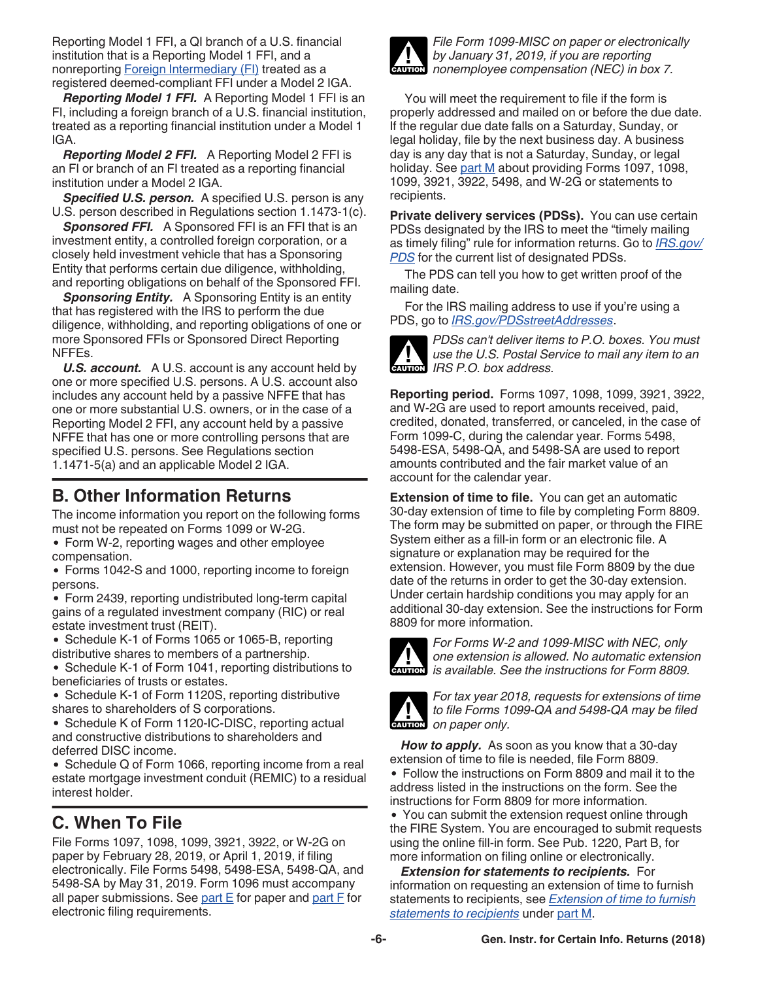<span id="page-5-0"></span>Reporting Model 1 FFI, a QI branch of a U.S. financial institution that is a Reporting Model 1 FFI, and a nonreporting [Foreign Intermediary \(FI\)](#page-19-0) treated as a registered deemed-compliant FFI under a Model 2 IGA.

*Reporting Model 1 FFI.* A Reporting Model 1 FFI is an FI, including a foreign branch of a U.S. financial institution, treated as a reporting financial institution under a Model 1 IGA.

*Reporting Model 2 FFI.* A Reporting Model 2 FFI is an FI or branch of an FI treated as a reporting financial institution under a Model 2 IGA.

*Specified U.S. person.* A specified U.S. person is any U.S. person described in Regulations section 1.1473-1(c).

*Sponsored FFI.* A Sponsored FFI is an FFI that is an investment entity, a controlled foreign corporation, or a closely held investment vehicle that has a Sponsoring Entity that performs certain due diligence, withholding, and reporting obligations on behalf of the Sponsored FFI.

**Sponsoring Entity.** A Sponsoring Entity is an entity that has registered with the IRS to perform the due diligence, withholding, and reporting obligations of one or more Sponsored FFIs or Sponsored Direct Reporting NFFEs.

*U.S. account.* A U.S. account is any account held by one or more specified U.S. persons. A U.S. account also includes any account held by a passive NFFE that has one or more substantial U.S. owners, or in the case of a Reporting Model 2 FFI, any account held by a passive NFFE that has one or more controlling persons that are specified U.S. persons. See Regulations section 1.1471-5(a) and an applicable Model 2 IGA.

# **B. Other Information Returns**

The income information you report on the following forms must not be repeated on Forms 1099 or W-2G.

Form W-2, reporting wages and other employee compensation.

Forms 1042-S and 1000, reporting income to foreign persons.

Form 2439, reporting undistributed long-term capital gains of a regulated investment company (RIC) or real estate investment trust (REIT).

• Schedule K-1 of Forms 1065 or 1065-B, reporting distributive shares to members of a partnership.

• Schedule K-1 of Form 1041, reporting distributions to beneficiaries of trusts or estates.

• Schedule K-1 of Form 1120S, reporting distributive shares to shareholders of S corporations.

Schedule K of Form 1120-IC-DISC, reporting actual and constructive distributions to shareholders and deferred DISC income.

• Schedule Q of Form 1066, reporting income from a real estate mortgage investment conduit (REMIC) to a residual interest holder.

# **C. When To File**

File Forms 1097, 1098, 1099, 3921, 3922, or W-2G on paper by February 28, 2019, or April 1, 2019, if filing electronically. File Forms 5498, 5498-ESA, 5498-QA, and 5498-SA by May 31, 2019. Form 1096 must accompany all paper submissions. See part  $E$  for paper and part  $F$  for electronic filing requirements.



*File Form 1099-MISC on paper or electronically by January 31, 2019, if you are reporting nonemployee compensation (NEC) in box 7.*

You will meet the requirement to file if the form is properly addressed and mailed on or before the due date. If the regular due date falls on a Saturday, Sunday, or legal holiday, file by the next business day. A business day is any day that is not a Saturday, Sunday, or legal holiday. See [part M](#page-13-0) about providing Forms 1097, 1098, 1099, 3921, 3922, 5498, and W-2G or statements to recipients.

**Private delivery services (PDSs).** You can use certain PDSs designated by the IRS to meet the "timely mailing as timely filing" rule for information returns. Go to *[IRS.gov/](https://www.irs.gov/PDS) [PDS](https://www.irs.gov/PDS)* for the current list of designated PDSs.

The PDS can tell you how to get written proof of the mailing date.

For the IRS mailing address to use if you're using a PDS, go to *[IRS.gov/PDSstreetAddresses](https://www.irs.gov/PDSstreetAddresses)*.



*PDSs can't deliver items to P.O. boxes. You must use the U.S. Postal Service to mail any item to an*  **IRS P.O.** box address.

**Reporting period.** Forms 1097, 1098, 1099, 3921, 3922, and W-2G are used to report amounts received, paid, credited, donated, transferred, or canceled, in the case of Form 1099-C, during the calendar year. Forms 5498, 5498-ESA, 5498-QA, and 5498-SA are used to report amounts contributed and the fair market value of an account for the calendar year.

**Extension of time to file.** You can get an automatic 30-day extension of time to file by completing Form 8809. The form may be submitted on paper, or through the FIRE System either as a fill-in form or an electronic file. A signature or explanation may be required for the extension. However, you must file Form 8809 by the due date of the returns in order to get the 30-day extension. Under certain hardship conditions you may apply for an additional 30-day extension. See the instructions for Form 8809 for more information.



*For Forms W-2 and 1099-MISC with NEC, only one extension is allowed. No automatic extension is available. See the instructions for Form 8809.*



*For tax year 2018, requests for extensions of time to file Forms 1099-QA and 5498-QA may be filed on paper only.*

*How to apply.* As soon as you know that a 30-day extension of time to file is needed, file Form 8809. Follow the instructions on Form 8809 and mail it to the address listed in the instructions on the form. See the instructions for Form 8809 for more information.

You can submit the extension request online through the FIRE System. You are encouraged to submit requests using the online fill-in form. See Pub. 1220, Part B, for more information on filing online or electronically.

*Extension for statements to recipients.* For information on requesting an extension of time to furnish statements to recipients, see *[Extension of time to furnish](#page-15-0) [statements to recipients](#page-15-0)* under [part M](#page-13-0).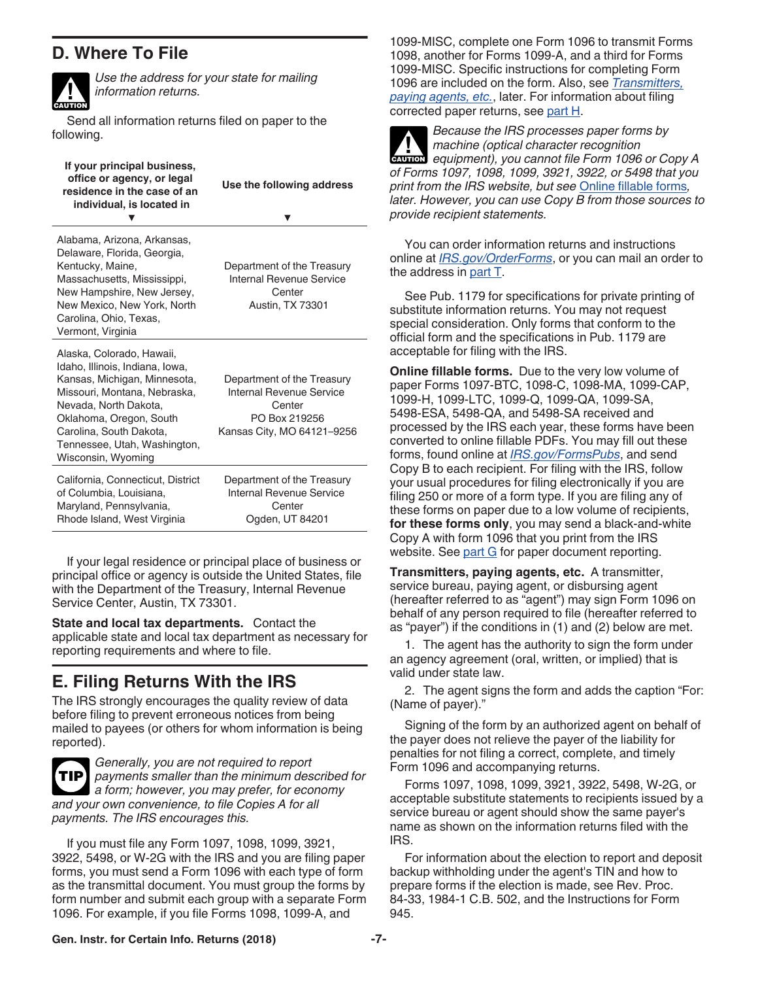# <span id="page-6-0"></span>**D. Where To File**



*Use the address for your state for mailing information returns.*

Send all information returns filed on paper to the following.

| Alabama, Arizona, Arkansas,<br>Delaware, Florida, Georgia,<br>Kentucky, Maine,<br>Massachusetts, Mississippi,<br>New Hampshire, New Jersey,<br>New Mexico, New York, North<br>Carolina, Ohio, Texas,<br>Vermont, Virginia                                         | Department of the Treasury<br>Internal Revenue Service<br>Center<br><b>Austin, TX 73301</b>                     |
|-------------------------------------------------------------------------------------------------------------------------------------------------------------------------------------------------------------------------------------------------------------------|-----------------------------------------------------------------------------------------------------------------|
| Alaska, Colorado, Hawaii,<br>Idaho, Illinois, Indiana, Iowa,<br>Kansas, Michigan, Minnesota,<br>Missouri, Montana, Nebraska,<br>Nevada, North Dakota,<br>Oklahoma, Oregon, South<br>Carolina, South Dakota,<br>Tennessee, Utah, Washington,<br>Wisconsin, Wyoming | Department of the Treasury<br>Internal Revenue Service<br>Center<br>PO Box 219256<br>Kansas City, MO 64121-9256 |
| California, Connecticut, District<br>of Columbia, Louisiana,<br>Maryland, Pennsylvania,<br>Rhode Island, West Virginia                                                                                                                                            | Department of the Treasury<br>Internal Revenue Service<br>Center<br>Ogden, UT 84201                             |

If your legal residence or principal place of business or principal office or agency is outside the United States, file with the Department of the Treasury, Internal Revenue Service Center, Austin, TX 73301.

**State and local tax departments.** Contact the applicable state and local tax department as necessary for reporting requirements and where to file.

# **E. Filing Returns With the IRS**

The IRS strongly encourages the quality review of data before filing to prevent erroneous notices from being mailed to payees (or others for whom information is being reported).



*Generally, you are not required to report payments smaller than the minimum described for a form; however, you may prefer, for economy and your own convenience, to file Copies A for all payments. The IRS encourages this.*

If you must file any Form 1097, 1098, 1099, 3921, 3922, 5498, or W-2G with the IRS and you are filing paper forms, you must send a Form 1096 with each type of form as the transmittal document. You must group the forms by form number and submit each group with a separate Form 1096. For example, if you file Forms 1098, 1099-A, and

1099-MISC, complete one Form 1096 to transmit Forms 1098, another for Forms 1099-A, and a third for Forms 1099-MISC. Specific instructions for completing Form 1096 are included on the form. Also, see *Transmitters, paying agents, etc.*, later. For information about filing corrected paper returns, see [part H.](#page-9-0)



*Because the IRS processes paper forms by machine (optical character recognition equipment), you cannot file Form 1096 or Copy A of Forms 1097, 1098, 1099, 3921, 3922, or 5498 that you print from the IRS website, but see* Online fillable forms*, later. However, you can use Copy B from those sources to provide recipient statements.*

You can order information returns and instructions online at *[IRS.gov/OrderForms](https://www.irs.gov/orderforms)*, or you can mail an order to the address in [part T](#page-21-0).

See Pub. 1179 for specifications for private printing of substitute information returns. You may not request special consideration. Only forms that conform to the official form and the specifications in Pub. 1179 are acceptable for filing with the IRS.

**Online fillable forms.** Due to the very low volume of paper Forms 1097-BTC, 1098-C, 1098-MA, 1099-CAP, 1099-H, 1099-LTC, 1099-Q, 1099-QA, 1099-SA, 5498-ESA, 5498-QA, and 5498-SA received and processed by the IRS each year, these forms have been converted to online fillable PDFs. You may fill out these forms, found online at *[IRS.gov/FormsPubs](https://www.irs.gov/formspubs)*, and send Copy B to each recipient. For filing with the IRS, follow your usual procedures for filing electronically if you are filing 250 or more of a form type. If you are filing any of these forms on paper due to a low volume of recipients, **for these forms only**, you may send a black-and-white Copy A with form 1096 that you print from the IRS website. See [part G](#page-8-0) for paper document reporting.

**Transmitters, paying agents, etc.** A transmitter, service bureau, paying agent, or disbursing agent (hereafter referred to as "agent") may sign Form 1096 on behalf of any person required to file (hereafter referred to as "payer") if the conditions in (1) and (2) below are met.

1. The agent has the authority to sign the form under an agency agreement (oral, written, or implied) that is valid under state law.

2. The agent signs the form and adds the caption "For: (Name of payer)."

Signing of the form by an authorized agent on behalf of the payer does not relieve the payer of the liability for penalties for not filing a correct, complete, and timely Form 1096 and accompanying returns.

Forms 1097, 1098, 1099, 3921, 3922, 5498, W-2G, or acceptable substitute statements to recipients issued by a service bureau or agent should show the same payer's name as shown on the information returns filed with the IRS.

For information about the election to report and deposit backup withholding under the agent's TIN and how to prepare forms if the election is made, see Rev. Proc. 84-33, 1984-1 C.B. 502, and the Instructions for Form 945.

#### **Gen. Instr. for Certain Info. Returns (2018) -7-**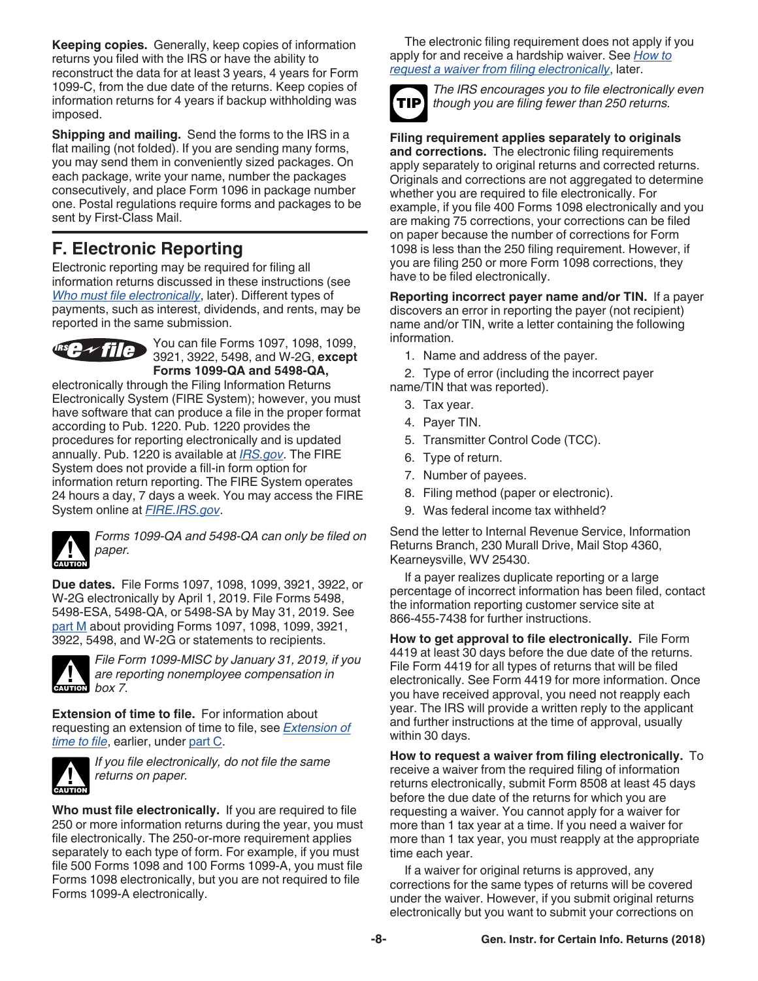<span id="page-7-0"></span>**Keeping copies.** Generally, keep copies of information returns you filed with the IRS or have the ability to reconstruct the data for at least 3 years, 4 years for Form 1099-C, from the due date of the returns. Keep copies of information returns for 4 years if backup withholding was imposed.

**Shipping and mailing.** Send the forms to the IRS in a flat mailing (not folded). If you are sending many forms, you may send them in conveniently sized packages. On each package, write your name, number the packages consecutively, and place Form 1096 in package number one. Postal regulations require forms and packages to be sent by First-Class Mail.

# **F. Electronic Reporting**

Electronic reporting may be required for filing all information returns discussed in these instructions (see *Who must file electronically*, later). Different types of payments, such as interest, dividends, and rents, may be reported in the same submission.



You can file Forms 1097, 1098, 1099, 3921, 3922, 5498, and W-2G, **except Forms 1099-QA and 5498-QA,** 

electronically through the Filing Information Returns Electronically System (FIRE System); however, you must have software that can produce a file in the proper format according to Pub. 1220. Pub. 1220 provides the procedures for reporting electronically and is updated annually. Pub. 1220 is available at *[IRS.gov](https://www.irs.gov)*. The FIRE System does not provide a fill-in form option for information return reporting. The FIRE System operates 24 hours a day, 7 days a week. You may access the FIRE System online at *[FIRE.IRS.gov](http://fire.irs.gov)*.



*Forms 1099-QA and 5498-QA can only be filed on paper.*

**Due dates.** File Forms 1097, 1098, 1099, 3921, 3922, or W-2G electronically by April 1, 2019. File Forms 5498, 5498-ESA, 5498-QA, or 5498-SA by May 31, 2019. See [part M](#page-13-0) about providing Forms 1097, 1098, 1099, 3921, 3922, 5498, and W-2G or statements to recipients.



*File Form 1099-MISC by January 31, 2019, if you are reporting nonemployee compensation in* 

**Extension of time to file.** For information about requesting an extension of time to file, see *[Extension of](#page-5-0) [time to file](#page-5-0)*, earlier, under [part C](#page-5-0).



*If you file electronically, do not file the same returns on paper.*

**Who must file electronically.** If you are required to file 250 or more information returns during the year, you must file electronically. The 250-or-more requirement applies separately to each type of form. For example, if you must file 500 Forms 1098 and 100 Forms 1099-A, you must file Forms 1098 electronically, but you are not required to file Forms 1099-A electronically.

The electronic filing requirement does not apply if you apply for and receive a hardship waiver. See *How to request a waiver from filing electronically*, later.



*The IRS encourages you to file electronically even though you are filing fewer than 250 returns.*

**Filing requirement applies separately to originals and corrections.** The electronic filing requirements apply separately to original returns and corrected returns. Originals and corrections are not aggregated to determine whether you are required to file electronically. For example, if you file 400 Forms 1098 electronically and you are making 75 corrections, your corrections can be filed on paper because the number of corrections for Form 1098 is less than the 250 filing requirement. However, if you are filing 250 or more Form 1098 corrections, they have to be filed electronically.

**Reporting incorrect payer name and/or TIN.** If a payer discovers an error in reporting the payer (not recipient) name and/or TIN, write a letter containing the following information.

1. Name and address of the payer.

2. Type of error (including the incorrect payer name/TIN that was reported).

- 3. Tax year.
- 4. Payer TIN.
- 5. Transmitter Control Code (TCC).
- 6. Type of return.
- 7. Number of payees.
- 8. Filing method (paper or electronic).
- 9. Was federal income tax withheld?

Send the letter to Internal Revenue Service, Information Returns Branch, 230 Murall Drive, Mail Stop 4360, Kearneysville, WV 25430.

If a payer realizes duplicate reporting or a large percentage of incorrect information has been filed, contact the information reporting customer service site at 866-455-7438 for further instructions.

**How to get approval to file electronically.** File Form 4419 at least 30 days before the due date of the returns. File Form 4419 for all types of returns that will be filed electronically. See Form 4419 for more information. Once you have received approval, you need not reapply each year. The IRS will provide a written reply to the applicant and further instructions at the time of approval, usually within 30 days.

**How to request a waiver from filing electronically.** To receive a waiver from the required filing of information returns electronically, submit Form 8508 at least 45 days before the due date of the returns for which you are requesting a waiver. You cannot apply for a waiver for more than 1 tax year at a time. If you need a waiver for more than 1 tax year, you must reapply at the appropriate time each year.

If a waiver for original returns is approved, any corrections for the same types of returns will be covered under the waiver. However, if you submit original returns electronically but you want to submit your corrections on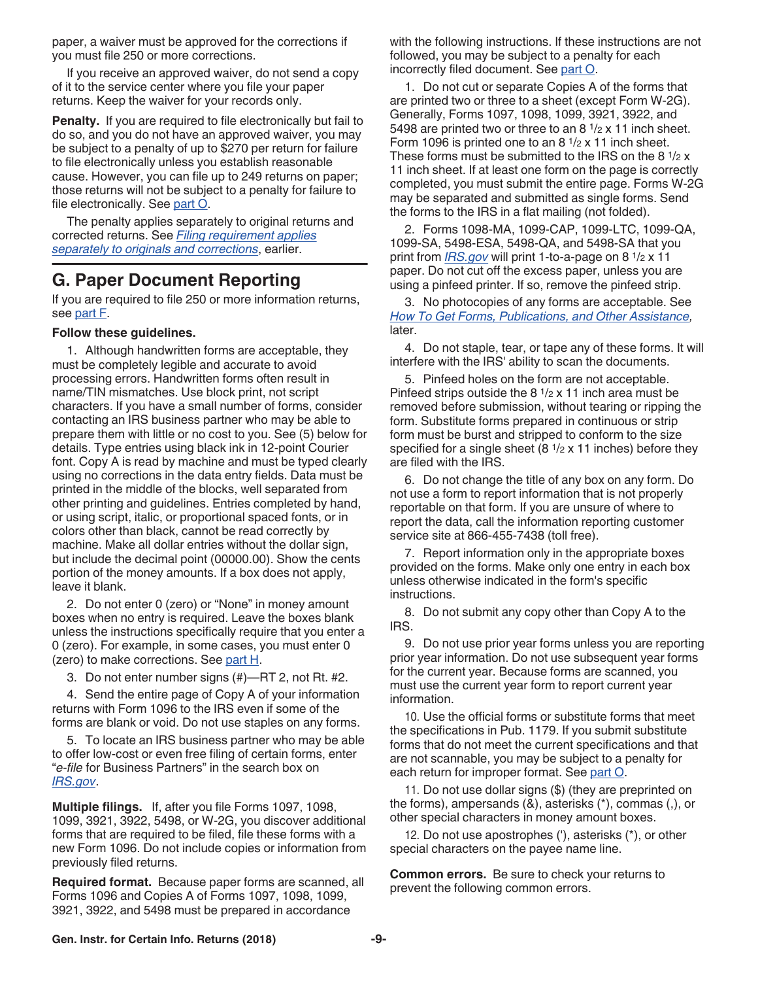<span id="page-8-0"></span>paper, a waiver must be approved for the corrections if you must file 250 or more corrections.

If you receive an approved waiver, do not send a copy of it to the service center where you file your paper returns. Keep the waiver for your records only.

**Penalty.** If you are required to file electronically but fail to do so, and you do not have an approved waiver, you may be subject to a penalty of up to \$270 per return for failure to file electronically unless you establish reasonable cause. However, you can file up to 249 returns on paper; those returns will not be subject to a penalty for failure to file electronically. See [part O.](#page-17-0)

The penalty applies separately to original returns and corrected returns. See *[Filing requirement applies](#page-7-0)  [separately to originals and corrections](#page-7-0)*, earlier.

# **G. Paper Document Reporting**

If you are required to file 250 or more information returns, see [part F](#page-7-0).

#### **Follow these guidelines.**

1. Although handwritten forms are acceptable, they must be completely legible and accurate to avoid processing errors. Handwritten forms often result in name/TIN mismatches. Use block print, not script characters. If you have a small number of forms, consider contacting an IRS business partner who may be able to prepare them with little or no cost to you. See (5) below for details. Type entries using black ink in 12-point Courier font. Copy A is read by machine and must be typed clearly using no corrections in the data entry fields. Data must be printed in the middle of the blocks, well separated from other printing and guidelines. Entries completed by hand, or using script, italic, or proportional spaced fonts, or in colors other than black, cannot be read correctly by machine. Make all dollar entries without the dollar sign, but include the decimal point (00000.00). Show the cents portion of the money amounts. If a box does not apply, leave it blank.

2. Do not enter 0 (zero) or "None" in money amount boxes when no entry is required. Leave the boxes blank unless the instructions specifically require that you enter a 0 (zero). For example, in some cases, you must enter 0 (zero) to make corrections. See [part H](#page-9-0).

3. Do not enter number signs (#)—RT 2, not Rt. #2.

4. Send the entire page of Copy A of your information returns with Form 1096 to the IRS even if some of the forms are blank or void. Do not use staples on any forms.

5. To locate an IRS business partner who may be able to offer low-cost or even free filing of certain forms, enter "*e-file* for Business Partners" in the search box on *[IRS.gov](https://www.irs.gov)*.

**Multiple filings.** If, after you file Forms 1097, 1098, 1099, 3921, 3922, 5498, or W-2G, you discover additional forms that are required to be filed, file these forms with a new Form 1096. Do not include copies or information from previously filed returns.

**Required format.** Because paper forms are scanned, all Forms 1096 and Copies A of Forms 1097, 1098, 1099, 3921, 3922, and 5498 must be prepared in accordance

with the following instructions. If these instructions are not followed, you may be subject to a penalty for each incorrectly filed document. See [part O.](#page-17-0)

1. Do not cut or separate Copies A of the forms that are printed two or three to a sheet (except Form W-2G). Generally, Forms 1097, 1098, 1099, 3921, 3922, and 5498 are printed two or three to an 8 1/2 x 11 inch sheet. Form 1096 is printed one to an 8 1/2 x 11 inch sheet. These forms must be submitted to the IRS on the 8  $1/2$  x 11 inch sheet. If at least one form on the page is correctly completed, you must submit the entire page. Forms W-2G may be separated and submitted as single forms. Send the forms to the IRS in a flat mailing (not folded).

2. Forms 1098-MA, 1099-CAP, 1099-LTC, 1099-QA, 1099-SA, 5498-ESA, 5498-QA, and 5498-SA that you print from *[IRS.gov](https://www.irs.gov)* will print 1-to-a-page on 8 1/2 x 11 paper. Do not cut off the excess paper, unless you are using a pinfeed printer. If so, remove the pinfeed strip.

3. No photocopies of any forms are acceptable. See *[How To Get Forms, Publications, and Other Assistance](#page-21-0),*  later.

4. Do not staple, tear, or tape any of these forms. It will interfere with the IRS' ability to scan the documents.

5. Pinfeed holes on the form are not acceptable. Pinfeed strips outside the 8 1/2 x 11 inch area must be removed before submission, without tearing or ripping the form. Substitute forms prepared in continuous or strip form must be burst and stripped to conform to the size specified for a single sheet  $(8 \frac{1}{2} \times 11 \text{ inches})$  before they are filed with the IRS.

6. Do not change the title of any box on any form. Do not use a form to report information that is not properly reportable on that form. If you are unsure of where to report the data, call the information reporting customer service site at 866-455-7438 (toll free).

7. Report information only in the appropriate boxes provided on the forms. Make only one entry in each box unless otherwise indicated in the form's specific instructions.

8. Do not submit any copy other than Copy A to the IRS.

9. Do not use prior year forms unless you are reporting prior year information. Do not use subsequent year forms for the current year. Because forms are scanned, you must use the current year form to report current year information.

10. Use the official forms or substitute forms that meet the specifications in Pub. 1179. If you submit substitute forms that do not meet the current specifications and that are not scannable, you may be subject to a penalty for each return for improper format. See [part O](#page-17-0).

11. Do not use dollar signs (\$) (they are preprinted on the forms), ampersands (&), asterisks (\*), commas (,), or other special characters in money amount boxes.

12. Do not use apostrophes ('), asterisks (\*), or other special characters on the payee name line.

**Common errors.** Be sure to check your returns to prevent the following common errors.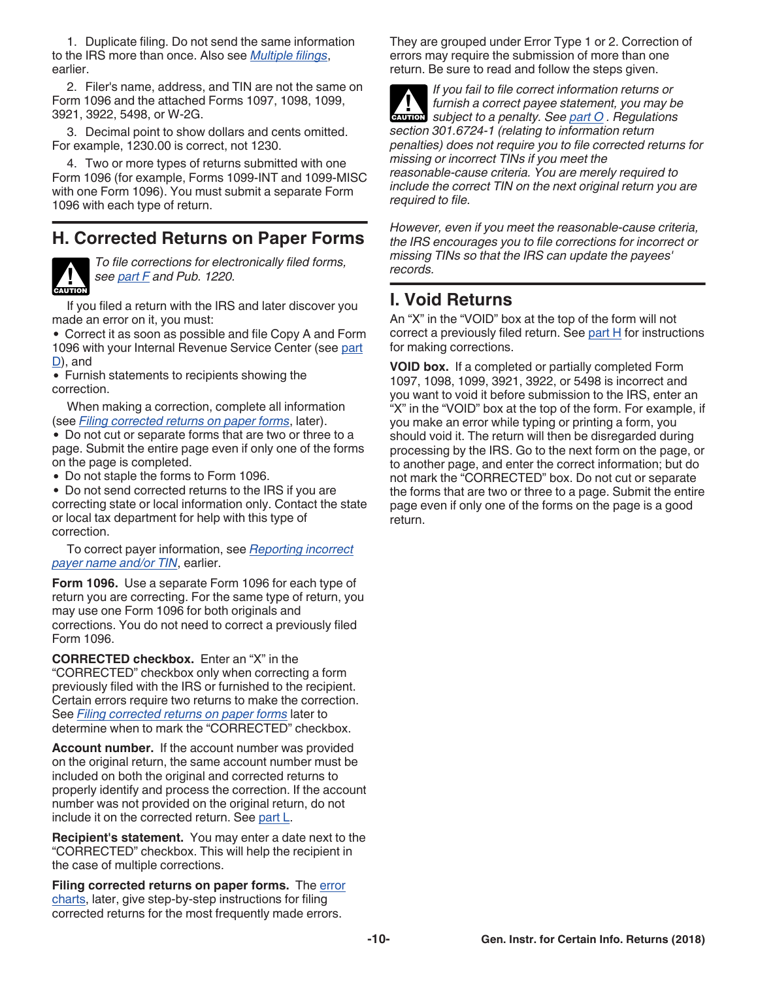<span id="page-9-0"></span>1. Duplicate filing. Do not send the same information to the IRS more than once. Also see *[Multiple filings](#page-8-0)*, earlier.

2. Filer's name, address, and TIN are not the same on Form 1096 and the attached Forms 1097, 1098, 1099, 3921, 3922, 5498, or W-2G.

3. Decimal point to show dollars and cents omitted. For example, 1230.00 is correct, not 1230.

4. Two or more types of returns submitted with one Form 1096 (for example, Forms 1099-INT and 1099-MISC with one Form 1096). You must submit a separate Form 1096 with each type of return.

# **H. Corrected Returns on Paper Forms**



*To file corrections for electronically filed forms, see [part F](#page-7-0) and Pub. 1220.*

If you filed a return with the IRS and later discover you made an error on it, you must:

Correct it as soon as possible and file Copy A and Form 1096 with your Internal Revenue Service Center (see [part](#page-6-0) [D](#page-6-0)), and

Furnish statements to recipients showing the correction.

When making a correction, complete all information (see *Filing corrected returns on paper forms*, later).

Do not cut or separate forms that are two or three to a page. Submit the entire page even if only one of the forms on the page is completed.

Do not staple the forms to Form 1096.

Do not send corrected returns to the IRS if you are correcting state or local information only. Contact the state or local tax department for help with this type of correction.

To correct payer information, see *[Reporting incorrect](#page-7-0)  [payer name and/or TIN](#page-7-0)*, earlier.

**Form 1096.** Use a separate Form 1096 for each type of return you are correcting. For the same type of return, you may use one Form 1096 for both originals and corrections. You do not need to correct a previously filed Form 1096.

**CORRECTED checkbox.** Enter an "X" in the "CORRECTED" checkbox only when correcting a form previously filed with the IRS or furnished to the recipient. Certain errors require two returns to make the correction. See *Filing corrected returns on paper forms* later to determine when to mark the "CORRECTED" checkbox.

**Account number.** If the account number was provided on the original return, the same account number must be included on both the original and corrected returns to properly identify and process the correction. If the account number was not provided on the original return, do not include it on the corrected return. See [part L](#page-12-0).

**Recipient's statement.** You may enter a date next to the "CORRECTED" checkbox. This will help the recipient in the case of multiple corrections.

**Filing corrected returns on paper forms.** The [error](#page-10-0) [charts](#page-10-0), later, give step-by-step instructions for filing corrected returns for the most frequently made errors.

They are grouped under Error Type 1 or 2. Correction of errors may require the submission of more than one return. Be sure to read and follow the steps given.

*If you fail to file correct information returns or furnish a correct payee statement, you may be*  furnish a correct payee statement, you may be<br>subject to a penalty. See [part O](#page-17-0) . Regulations *section 301.6724-1 (relating to information return penalties) does not require you to file corrected returns for missing or incorrect TINs if you meet the reasonable-cause criteria. You are merely required to include the correct TIN on the next original return you are required to file.*

*However, even if you meet the reasonable-cause criteria, the IRS encourages you to file corrections for incorrect or missing TINs so that the IRS can update the payees' records.*

# **I. Void Returns**

An "X" in the "VOID" box at the top of the form will not correct a previously filed return. See part  $H$  for instructions for making corrections.

**VOID box.** If a completed or partially completed Form 1097, 1098, 1099, 3921, 3922, or 5498 is incorrect and you want to void it before submission to the IRS, enter an "X" in the "VOID" box at the top of the form. For example, if you make an error while typing or printing a form, you should void it. The return will then be disregarded during processing by the IRS. Go to the next form on the page, or to another page, and enter the correct information; but do not mark the "CORRECTED" box. Do not cut or separate the forms that are two or three to a page. Submit the entire page even if only one of the forms on the page is a good return.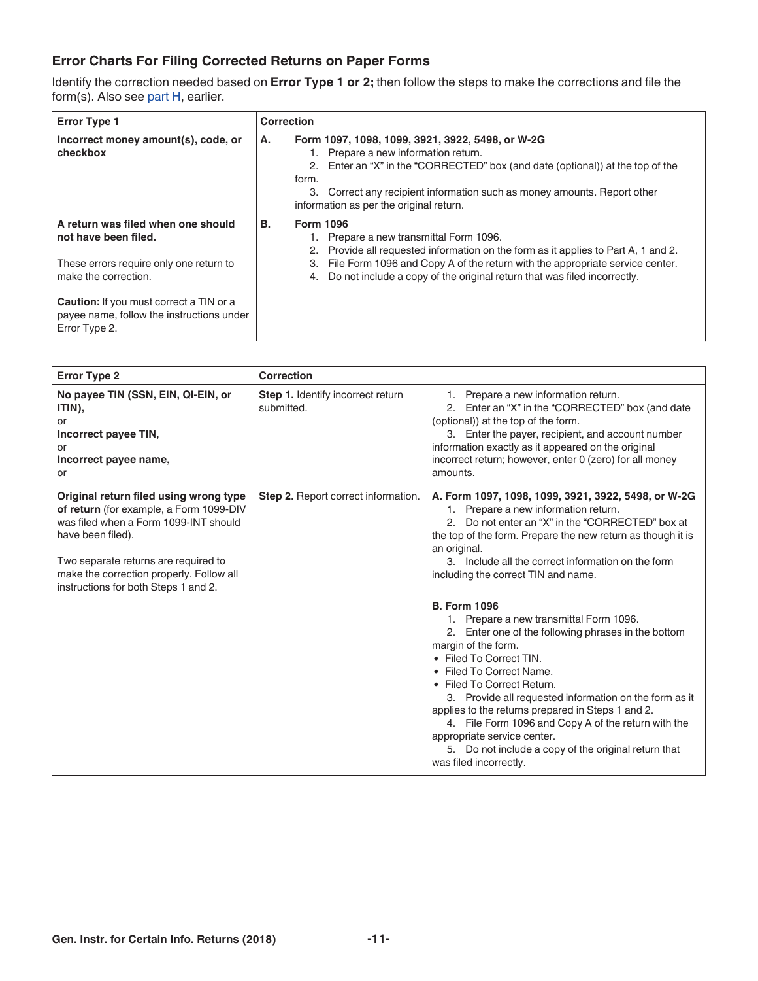### <span id="page-10-0"></span>**Error Charts For Filing Corrected Returns on Paper Forms**

Identify the correction needed based on **Error Type 1 or 2;** then follow the steps to make the corrections and file the form(s). Also see [part H](#page-9-0), earlier.

| <b>Error Type 1</b>                                                                                                           | <b>Correction</b>                                                                                                                                                                                                                                                                                                               |
|-------------------------------------------------------------------------------------------------------------------------------|---------------------------------------------------------------------------------------------------------------------------------------------------------------------------------------------------------------------------------------------------------------------------------------------------------------------------------|
| Incorrect money amount(s), code, or<br>checkbox                                                                               | Form 1097, 1098, 1099, 3921, 3922, 5498, or W-2G<br>А.<br>1. Prepare a new information return.<br>2. Enter an "X" in the "CORRECTED" box (and date (optional)) at the top of the<br>form.<br>3. Correct any recipient information such as money amounts. Report other<br>information as per the original return.                |
| A return was filed when one should<br>not have been filed.<br>These errors require only one return to<br>make the correction. | <b>Form 1096</b><br>В.<br>Prepare a new transmittal Form 1096.<br>Provide all requested information on the form as it applies to Part A, 1 and 2.<br>2.<br>File Form 1096 and Copy A of the return with the appropriate service center.<br>З.<br>Do not include a copy of the original return that was filed incorrectly.<br>4. |
| <b>Caution:</b> If you must correct a TIN or a<br>payee name, follow the instructions under<br>Error Type 2.                  |                                                                                                                                                                                                                                                                                                                                 |

| <b>Error Type 2</b>                                                                                                                                                                                                                                                         | Correction                                      |                                                                                                                                                                                                                                                                                                                                                                                                                                                                                                                          |
|-----------------------------------------------------------------------------------------------------------------------------------------------------------------------------------------------------------------------------------------------------------------------------|-------------------------------------------------|--------------------------------------------------------------------------------------------------------------------------------------------------------------------------------------------------------------------------------------------------------------------------------------------------------------------------------------------------------------------------------------------------------------------------------------------------------------------------------------------------------------------------|
| No payee TIN (SSN, EIN, QI-EIN, or<br>ITIN).<br>or<br>Incorrect payee TIN,<br>or<br>Incorrect payee name,<br>or                                                                                                                                                             | Step 1. Identify incorrect return<br>submitted. | 1. Prepare a new information return.<br>2. Enter an "X" in the "CORRECTED" box (and date<br>(optional)) at the top of the form.<br>3. Enter the payer, recipient, and account number<br>information exactly as it appeared on the original<br>incorrect return; however, enter 0 (zero) for all money<br>amounts.                                                                                                                                                                                                        |
| Original return filed using wrong type<br>of return (for example, a Form 1099-DIV<br>was filed when a Form 1099-INT should<br>have been filed).<br>Two separate returns are required to<br>make the correction properly. Follow all<br>instructions for both Steps 1 and 2. | Step 2. Report correct information.             | A. Form 1097, 1098, 1099, 3921, 3922, 5498, or W-2G<br>1. Prepare a new information return.<br>2. Do not enter an "X" in the "CORRECTED" box at<br>the top of the form. Prepare the new return as though it is<br>an original.<br>3. Include all the correct information on the form<br>including the correct TIN and name.                                                                                                                                                                                              |
|                                                                                                                                                                                                                                                                             |                                                 | <b>B. Form 1096</b><br>1. Prepare a new transmittal Form 1096.<br>2. Enter one of the following phrases in the bottom<br>margin of the form.<br>• Filed To Correct TIN.<br>• Filed To Correct Name.<br>• Filed To Correct Return.<br>3. Provide all requested information on the form as it<br>applies to the returns prepared in Steps 1 and 2.<br>4. File Form 1096 and Copy A of the return with the<br>appropriate service center.<br>5. Do not include a copy of the original return that<br>was filed incorrectly. |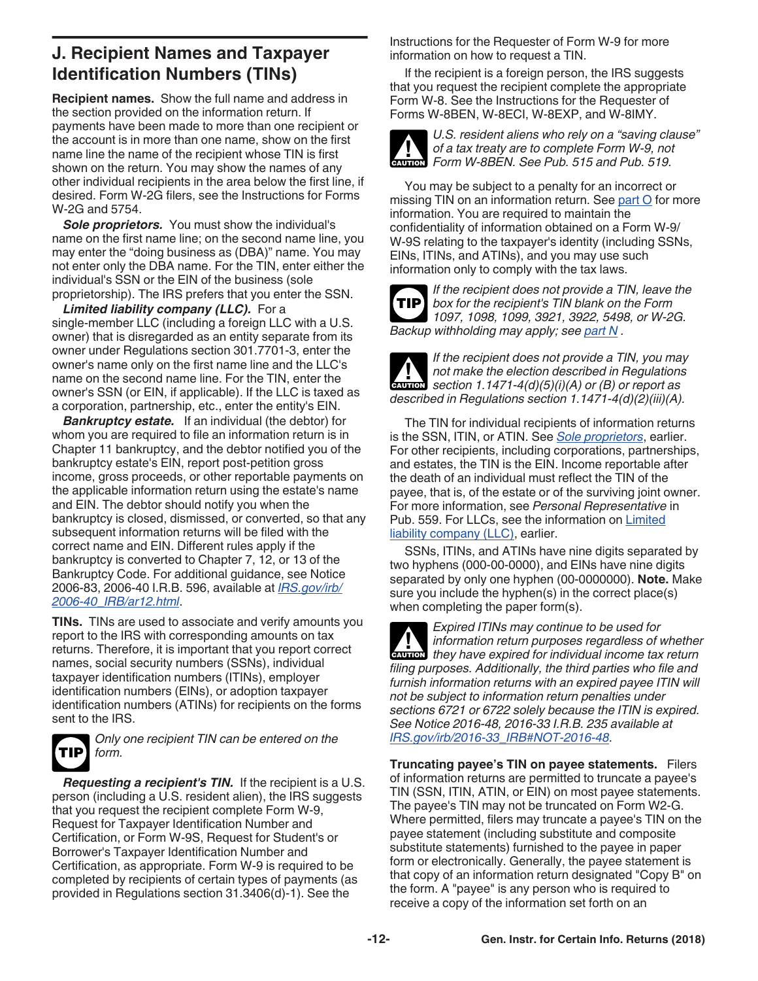# <span id="page-11-0"></span>**J. Recipient Names and Taxpayer Identification Numbers (TINs)**

**Recipient names.** Show the full name and address in the section provided on the information return. If payments have been made to more than one recipient or the account is in more than one name, show on the first name line the name of the recipient whose TIN is first shown on the return. You may show the names of any other individual recipients in the area below the first line, if desired. Form W-2G filers, see the Instructions for Forms W-2G and 5754.

**Sole proprietors.** You must show the individual's name on the first name line; on the second name line, you may enter the "doing business as (DBA)" name. You may not enter only the DBA name. For the TIN, enter either the individual's SSN or the EIN of the business (sole proprietorship). The IRS prefers that you enter the SSN.

*Limited liability company (LLC).* For a single-member LLC (including a foreign LLC with a U.S. owner) that is disregarded as an entity separate from its owner under Regulations section 301.7701-3, enter the owner's name only on the first name line and the LLC's name on the second name line. For the TIN, enter the owner's SSN (or EIN, if applicable). If the LLC is taxed as a corporation, partnership, etc., enter the entity's EIN.

*Bankruptcy estate.* If an individual (the debtor) for whom you are required to file an information return is in Chapter 11 bankruptcy, and the debtor notified you of the bankruptcy estate's EIN, report post-petition gross income, gross proceeds, or other reportable payments on the applicable information return using the estate's name and EIN. The debtor should notify you when the bankruptcy is closed, dismissed, or converted, so that any subsequent information returns will be filed with the correct name and EIN. Different rules apply if the bankruptcy is converted to Chapter 7, 12, or 13 of the Bankruptcy Code. For additional guidance, see Notice 2006-83, 2006-40 I.R.B. 596, available at *[IRS.gov/irb/](https://www.irs.gov/irb/2006-40_IRB/ar12.html) [2006-40\\_IRB/ar12.html](https://www.irs.gov/irb/2006-40_IRB/ar12.html)*.

**TINs.** TINs are used to associate and verify amounts you report to the IRS with corresponding amounts on tax returns. Therefore, it is important that you report correct names, social security numbers (SSNs), individual taxpayer identification numbers (ITINs), employer identification numbers (EINs), or adoption taxpayer identification numbers (ATINs) for recipients on the forms sent to the IRS.



*Only one recipient TIN can be entered on the form.*

*Requesting a recipient's TIN.* If the recipient is a U.S. person (including a U.S. resident alien), the IRS suggests that you request the recipient complete Form W-9, Request for Taxpayer Identification Number and Certification, or Form W-9S, Request for Student's or Borrower's Taxpayer Identification Number and Certification, as appropriate. Form W-9 is required to be completed by recipients of certain types of payments (as provided in Regulations section 31.3406(d)-1). See the

Instructions for the Requester of Form W-9 for more information on how to request a TIN.

If the recipient is a foreign person, the IRS suggests that you request the recipient complete the appropriate Form W-8. See the Instructions for the Requester of Forms W-8BEN, W-8ECI, W-8EXP, and W-8IMY.



*U.S. resident aliens who rely on a "saving clause" of a tax treaty are to complete Form W-9, not*  of a tax treaty are to complete Form W-9, no

You may be subject to a penalty for an incorrect or missing TIN on an information return. See [part O](#page-17-0) for more information. You are required to maintain the confidentiality of information obtained on a Form W-9/ W-9S relating to the taxpayer's identity (including SSNs, EINs, ITINs, and ATINs), and you may use such information only to comply with the tax laws.

*If the recipient does not provide a TIN, leave the box for the recipient's TIN blank on the Form 1097, 1098, 1099, 3921, 3922, 5498, or W-2G. Backup withholding may apply; see [part N](#page-16-0) .* **TIP**



*If the recipient does not provide a TIN, you may not make the election described in Regulations section 1.1471-4(d)(5)(i)(A) or (B) or report as described in Regulations section 1.1471-4(d)(2)(iii)(A).*

The TIN for individual recipients of information returns is the SSN, ITIN, or ATIN. See *Sole proprietors*, earlier. For other recipients, including corporations, partnerships, and estates, the TIN is the EIN. Income reportable after the death of an individual must reflect the TIN of the payee, that is, of the estate or of the surviving joint owner. For more information, see *Personal Representative* in Pub. 559. For LLCs, see the information on Limited liability company (LLC), earlier.

SSNs, ITINs, and ATINs have nine digits separated by two hyphens (000-00-0000), and EINs have nine digits separated by only one hyphen (00-0000000). **Note.** Make sure you include the hyphen(s) in the correct place(s) when completing the paper form(s).

*Expired ITINs may continue to be used for information return purposes regardless of whether they have expired for individual income tax return purposes regardless of whether filing purposes. Additionally, the third parties who file and furnish information returns with an expired payee ITIN will not be subject to information return penalties under sections 6721 or 6722 solely because the ITIN is expired. See Notice 2016-48, 2016-33 I.R.B. 235 available at [IRS.gov/irb/2016-33\\_IRB#NOT-2016-48](https://www.irs.gov/irb/2016-33_IRB#NOT-2016-48).*

**Truncating payee's TIN on payee statements.** Filers of information returns are permitted to truncate a payee's TIN (SSN, ITIN, ATIN, or EIN) on most payee statements. The payee's TIN may not be truncated on Form W2-G. Where permitted, filers may truncate a payee's TIN on the payee statement (including substitute and composite substitute statements) furnished to the payee in paper form or electronically. Generally, the payee statement is that copy of an information return designated "Copy B" on the form. A "payee" is any person who is required to receive a copy of the information set forth on an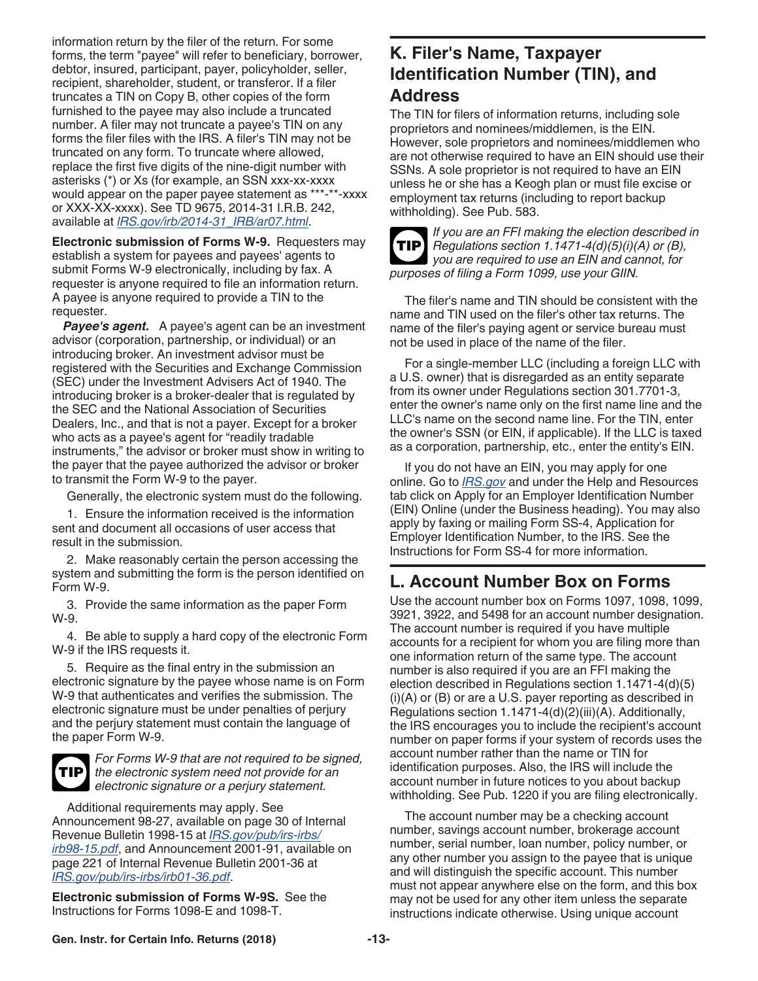<span id="page-12-0"></span>information return by the filer of the return. For some forms, the term "payee" will refer to beneficiary, borrower, debtor, insured, participant, payer, policyholder, seller, recipient, shareholder, student, or transferor. If a filer truncates a TIN on Copy B, other copies of the form furnished to the payee may also include a truncated number. A filer may not truncate a payee's TIN on any forms the filer files with the IRS. A filer's TIN may not be truncated on any form. To truncate where allowed, replace the first five digits of the nine-digit number with asterisks (\*) or Xs (for example, an SSN xxx-xx-xxxx would appear on the paper payee statement as \*\*\*-\*\*-xxxx or XXX-XX-xxxx). See TD 9675, 2014-31 I.R.B. 242, available at *[IRS.gov/irb/2014-31\\_IRB/ar07.html](https://www.irs.gov/irb/2014-31_IRB/ar07.html)*.

**Electronic submission of Forms W-9.** Requesters may establish a system for payees and payees' agents to submit Forms W-9 electronically, including by fax. A requester is anyone required to file an information return. A payee is anyone required to provide a TIN to the requester.

*Payee's agent.* A payee's agent can be an investment advisor (corporation, partnership, or individual) or an introducing broker. An investment advisor must be registered with the Securities and Exchange Commission (SEC) under the Investment Advisers Act of 1940. The introducing broker is a broker-dealer that is regulated by the SEC and the National Association of Securities Dealers, Inc., and that is not a payer. Except for a broker who acts as a payee's agent for "readily tradable instruments," the advisor or broker must show in writing to the payer that the payee authorized the advisor or broker to transmit the Form W-9 to the payer.

Generally, the electronic system must do the following.

1. Ensure the information received is the information sent and document all occasions of user access that result in the submission.

2. Make reasonably certain the person accessing the system and submitting the form is the person identified on Form W-9.

3. Provide the same information as the paper Form W-9.

4. Be able to supply a hard copy of the electronic Form W-9 if the IRS requests it.

5. Require as the final entry in the submission an electronic signature by the payee whose name is on Form W-9 that authenticates and verifies the submission. The electronic signature must be under penalties of perjury and the perjury statement must contain the language of the paper Form W-9.



*For Forms W-9 that are not required to be signed, the electronic system need not provide for an electronic signature or a perjury statement.*

Additional requirements may apply. See Announcement 98-27, available on page 30 of Internal Revenue Bulletin 1998-15 at *[IRS.gov/pub/irs-irbs/](https://www.irs.gov/pub/irs-irbs/irb98-15.pdf) [irb98-15.pdf](https://www.irs.gov/pub/irs-irbs/irb98-15.pdf)*, and Announcement 2001-91, available on page 221 of Internal Revenue Bulletin 2001-36 at *[IRS.gov/pub/irs-irbs/irb01-36.pdf](https://www.irs.gov/pub/irs-irbs/irb01-36.pdf)*.

**Electronic submission of Forms W-9S.** See the Instructions for Forms 1098-E and 1098-T.

# **K. Filer's Name, Taxpayer Identification Number (TIN), and Address**

The TIN for filers of information returns, including sole proprietors and nominees/middlemen, is the EIN. However, sole proprietors and nominees/middlemen who are not otherwise required to have an EIN should use their SSNs. A sole proprietor is not required to have an EIN unless he or she has a Keogh plan or must file excise or employment tax returns (including to report backup withholding). See Pub. 583.



*If you are an FFI making the election described in*  **TIP** Regulations section 1.1471-4(d)(5)(i)(A) or (B), *you are required to use an EIN and cannot, for purposes of filing a Form 1099, use your GIIN.*

The filer's name and TIN should be consistent with the name and TIN used on the filer's other tax returns. The name of the filer's paying agent or service bureau must not be used in place of the name of the filer.

For a single-member LLC (including a foreign LLC with a U.S. owner) that is disregarded as an entity separate from its owner under Regulations section 301.7701-3, enter the owner's name only on the first name line and the LLC's name on the second name line. For the TIN, enter the owner's SSN (or EIN, if applicable). If the LLC is taxed as a corporation, partnership, etc., enter the entity's EIN.

If you do not have an EIN, you may apply for one online. Go to *[IRS.gov](https://www.irs.gov)* and under the Help and Resources tab click on Apply for an Employer Identification Number (EIN) Online (under the Business heading). You may also apply by faxing or mailing Form SS-4, Application for Employer Identification Number, to the IRS. See the Instructions for Form SS-4 for more information.

# **L. Account Number Box on Forms**

Use the account number box on Forms 1097, 1098, 1099, 3921, 3922, and 5498 for an account number designation. The account number is required if you have multiple accounts for a recipient for whom you are filing more than one information return of the same type. The account number is also required if you are an FFI making the election described in Regulations section 1.1471-4(d)(5) (i)(A) or (B) or are a U.S. payer reporting as described in Regulations section 1.1471-4(d)(2)(iii)(A). Additionally, the IRS encourages you to include the recipient's account number on paper forms if your system of records uses the account number rather than the name or TIN for identification purposes. Also, the IRS will include the account number in future notices to you about backup withholding. See Pub. 1220 if you are filing electronically.

The account number may be a checking account number, savings account number, brokerage account number, serial number, loan number, policy number, or any other number you assign to the payee that is unique and will distinguish the specific account. This number must not appear anywhere else on the form, and this box may not be used for any other item unless the separate instructions indicate otherwise. Using unique account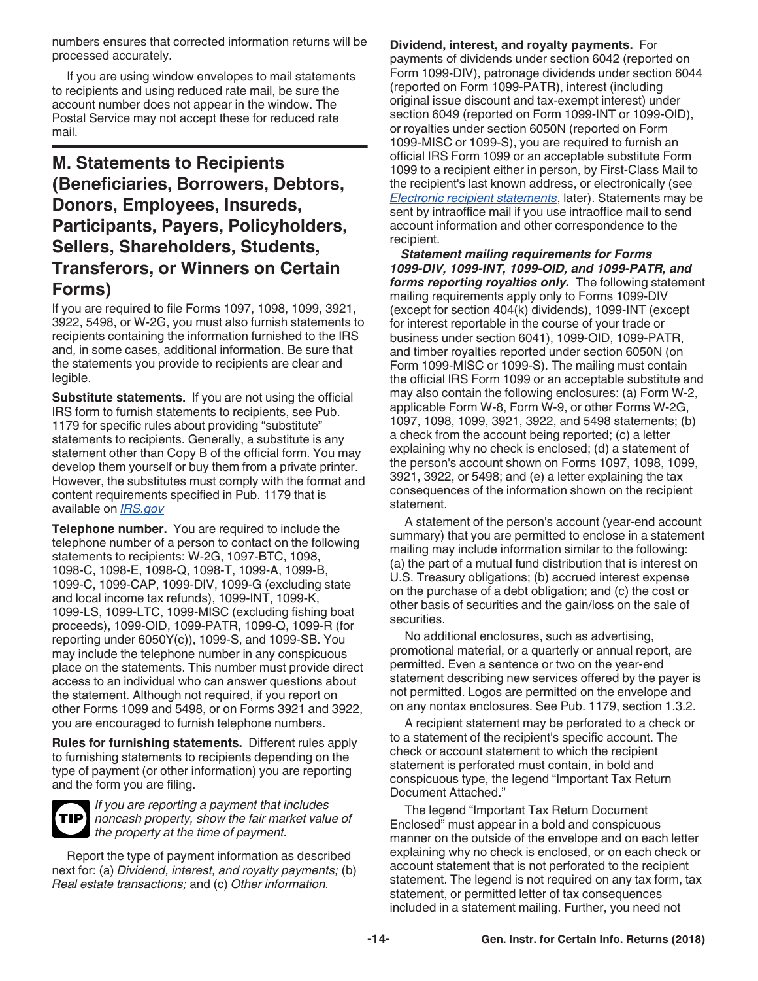<span id="page-13-0"></span>numbers ensures that corrected information returns will be processed accurately.

If you are using window envelopes to mail statements to recipients and using reduced rate mail, be sure the account number does not appear in the window. The Postal Service may not accept these for reduced rate mail.

# **M. Statements to Recipients (Beneficiaries, Borrowers, Debtors, Donors, Employees, Insureds, Participants, Payers, Policyholders, Sellers, Shareholders, Students, Transferors, or Winners on Certain Forms)**

If you are required to file Forms 1097, 1098, 1099, 3921, 3922, 5498, or W-2G, you must also furnish statements to recipients containing the information furnished to the IRS and, in some cases, additional information. Be sure that the statements you provide to recipients are clear and legible.

**Substitute statements.** If you are not using the official IRS form to furnish statements to recipients, see Pub. 1179 for specific rules about providing "substitute" statements to recipients. Generally, a substitute is any statement other than Copy B of the official form. You may develop them yourself or buy them from a private printer. However, the substitutes must comply with the format and content requirements specified in Pub. 1179 that is available on *[IRS.gov](https://www.irs.gov)*

**Telephone number.** You are required to include the telephone number of a person to contact on the following statements to recipients: W-2G, 1097-BTC, 1098, 1098-C, 1098-E, 1098-Q, 1098-T, 1099-A, 1099-B, 1099-C, 1099-CAP, 1099-DIV, 1099-G (excluding state and local income tax refunds), 1099-INT, 1099-K, 1099-LS, 1099-LTC, 1099-MISC (excluding fishing boat proceeds), 1099-OID, 1099-PATR, 1099-Q, 1099-R (for reporting under 6050Y(c)), 1099-S, and 1099-SB. You may include the telephone number in any conspicuous place on the statements. This number must provide direct access to an individual who can answer questions about the statement. Although not required, if you report on other Forms 1099 and 5498, or on Forms 3921 and 3922, you are encouraged to furnish telephone numbers.

**Rules for furnishing statements.** Different rules apply to furnishing statements to recipients depending on the type of payment (or other information) you are reporting and the form you are filing.



*If you are reporting a payment that includes noncash property, show the fair market value of the property at the time of payment.*

Report the type of payment information as described next for: (a) *Dividend, interest, and royalty payments;* (b) *Real estate transactions;* and (c) *Other information.*

**Dividend, interest, and royalty payments.** For payments of dividends under section 6042 (reported on Form 1099-DIV), patronage dividends under section 6044 (reported on Form 1099-PATR), interest (including original issue discount and tax-exempt interest) under section 6049 (reported on Form 1099-INT or 1099-OID), or royalties under section 6050N (reported on Form 1099-MISC or 1099-S), you are required to furnish an official IRS Form 1099 or an acceptable substitute Form 1099 to a recipient either in person, by First-Class Mail to the recipient's last known address, or electronically (see *[Electronic recipient statements](#page-15-0)*, later). Statements may be sent by intraoffice mail if you use intraoffice mail to send account information and other correspondence to the recipient.

*Statement mailing requirements for Forms 1099-DIV, 1099-INT, 1099-OID, and 1099-PATR, and forms reporting royalties only.* The following statement mailing requirements apply only to Forms 1099-DIV (except for section 404(k) dividends), 1099-INT (except for interest reportable in the course of your trade or business under section 6041), 1099-OID, 1099-PATR, and timber royalties reported under section 6050N (on Form 1099-MISC or 1099-S). The mailing must contain the official IRS Form 1099 or an acceptable substitute and may also contain the following enclosures: (a) Form W-2, applicable Form W-8, Form W-9, or other Forms W-2G, 1097, 1098, 1099, 3921, 3922, and 5498 statements; (b) a check from the account being reported; (c) a letter explaining why no check is enclosed; (d) a statement of the person's account shown on Forms 1097, 1098, 1099, 3921, 3922, or 5498; and (e) a letter explaining the tax consequences of the information shown on the recipient statement.

A statement of the person's account (year-end account summary) that you are permitted to enclose in a statement mailing may include information similar to the following: (a) the part of a mutual fund distribution that is interest on U.S. Treasury obligations; (b) accrued interest expense on the purchase of a debt obligation; and (c) the cost or other basis of securities and the gain/loss on the sale of securities.

No additional enclosures, such as advertising, promotional material, or a quarterly or annual report, are permitted. Even a sentence or two on the year-end statement describing new services offered by the payer is not permitted. Logos are permitted on the envelope and on any nontax enclosures. See Pub. 1179, section 1.3.2.

A recipient statement may be perforated to a check or to a statement of the recipient's specific account. The check or account statement to which the recipient statement is perforated must contain, in bold and conspicuous type, the legend "Important Tax Return Document Attached."

The legend "Important Tax Return Document Enclosed" must appear in a bold and conspicuous manner on the outside of the envelope and on each letter explaining why no check is enclosed, or on each check or account statement that is not perforated to the recipient statement. The legend is not required on any tax form, tax statement, or permitted letter of tax consequences included in a statement mailing. Further, you need not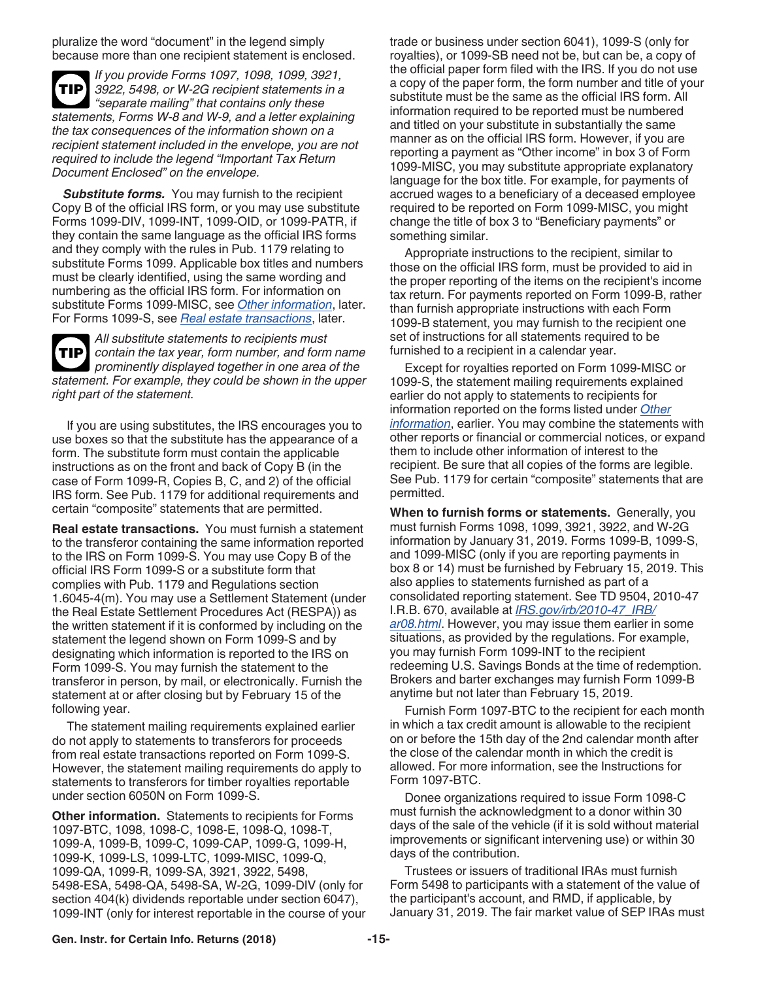<span id="page-14-0"></span>pluralize the word "document" in the legend simply because more than one recipient statement is enclosed.

*If you provide Forms 1097, 1098, 1099, 3921, 3922, 5498, or W-2G recipient statements in a "separate mailing" that contains only these statements, Forms W-8 and W-9, and a letter explaining the tax consequences of the information shown on a recipient statement included in the envelope, you are not required to include the legend "Important Tax Return Document Enclosed" on the envelope.* **TIP**

**Substitute forms.** You may furnish to the recipient Copy B of the official IRS form, or you may use substitute Forms 1099-DIV, 1099-INT, 1099-OID, or 1099-PATR, if they contain the same language as the official IRS forms and they comply with the rules in Pub. 1179 relating to substitute Forms 1099. Applicable box titles and numbers must be clearly identified, using the same wording and numbering as the official IRS form. For information on substitute Forms 1099-MISC, see *Other information*, later. For Forms 1099-S, see *Real estate transactions*, later.

*All substitute statements to recipients must contain the tax year, form number, and form name prominently displayed together in one area of the statement. For example, they could be shown in the upper right part of the statement.* **TIP**

If you are using substitutes, the IRS encourages you to use boxes so that the substitute has the appearance of a form. The substitute form must contain the applicable instructions as on the front and back of Copy B (in the case of Form 1099-R, Copies B, C, and 2) of the official IRS form. See Pub. 1179 for additional requirements and certain "composite" statements that are permitted.

**Real estate transactions.** You must furnish a statement to the transferor containing the same information reported to the IRS on Form 1099-S. You may use Copy B of the official IRS Form 1099-S or a substitute form that complies with Pub. 1179 and Regulations section 1.6045-4(m). You may use a Settlement Statement (under the Real Estate Settlement Procedures Act (RESPA)) as the written statement if it is conformed by including on the statement the legend shown on Form 1099-S and by designating which information is reported to the IRS on Form 1099-S. You may furnish the statement to the transferor in person, by mail, or electronically. Furnish the statement at or after closing but by February 15 of the following year.

The statement mailing requirements explained earlier do not apply to statements to transferors for proceeds from real estate transactions reported on Form 1099-S. However, the statement mailing requirements do apply to statements to transferors for timber royalties reportable under section 6050N on Form 1099-S.

**Other information.** Statements to recipients for Forms 1097-BTC, 1098, 1098-C, 1098-E, 1098-Q, 1098-T, 1099-A, 1099-B, 1099-C, 1099-CAP, 1099-G, 1099-H, 1099-K, 1099-LS, 1099-LTC, 1099-MISC, 1099-Q, 1099-QA, 1099-R, 1099-SA, 3921, 3922, 5498, 5498-ESA, 5498-QA, 5498-SA, W-2G, 1099-DIV (only for section 404(k) dividends reportable under section 6047), 1099-INT (only for interest reportable in the course of your trade or business under section 6041), 1099-S (only for royalties), or 1099-SB need not be, but can be, a copy of the official paper form filed with the IRS. If you do not use a copy of the paper form, the form number and title of your substitute must be the same as the official IRS form. All information required to be reported must be numbered and titled on your substitute in substantially the same manner as on the official IRS form. However, if you are reporting a payment as "Other income" in box 3 of Form 1099-MISC, you may substitute appropriate explanatory language for the box title. For example, for payments of accrued wages to a beneficiary of a deceased employee required to be reported on Form 1099-MISC, you might change the title of box 3 to "Beneficiary payments" or something similar.

Appropriate instructions to the recipient, similar to those on the official IRS form, must be provided to aid in the proper reporting of the items on the recipient's income tax return. For payments reported on Form 1099-B, rather than furnish appropriate instructions with each Form 1099-B statement, you may furnish to the recipient one set of instructions for all statements required to be furnished to a recipient in a calendar year.

Except for royalties reported on Form 1099-MISC or 1099-S, the statement mailing requirements explained earlier do not apply to statements to recipients for information reported on the forms listed under *Other information*, earlier. You may combine the statements with other reports or financial or commercial notices, or expand them to include other information of interest to the recipient. Be sure that all copies of the forms are legible. See Pub. 1179 for certain "composite" statements that are permitted.

**When to furnish forms or statements.** Generally, you must furnish Forms 1098, 1099, 3921, 3922, and W-2G information by January 31, 2019. Forms 1099-B, 1099-S, and 1099-MISC (only if you are reporting payments in box 8 or 14) must be furnished by February 15, 2019. This also applies to statements furnished as part of a consolidated reporting statement. See TD 9504, 2010-47 I.R.B. 670, available at *[IRS.gov/irb/2010-47\\_IRB/](https://www.irs.gov/irb/2010-47_IRB/ar08.html) [ar08.html](https://www.irs.gov/irb/2010-47_IRB/ar08.html)*. However, you may issue them earlier in some situations, as provided by the regulations. For example, you may furnish Form 1099-INT to the recipient redeeming U.S. Savings Bonds at the time of redemption. Brokers and barter exchanges may furnish Form 1099-B anytime but not later than February 15, 2019.

Furnish Form 1097-BTC to the recipient for each month in which a tax credit amount is allowable to the recipient on or before the 15th day of the 2nd calendar month after the close of the calendar month in which the credit is allowed. For more information, see the Instructions for Form 1097-BTC.

Donee organizations required to issue Form 1098-C must furnish the acknowledgment to a donor within 30 days of the sale of the vehicle (if it is sold without material improvements or significant intervening use) or within 30 days of the contribution.

Trustees or issuers of traditional IRAs must furnish Form 5498 to participants with a statement of the value of the participant's account, and RMD, if applicable, by January 31, 2019. The fair market value of SEP IRAs must

#### **Gen. Instr. for Certain Info. Returns (2018) -15-**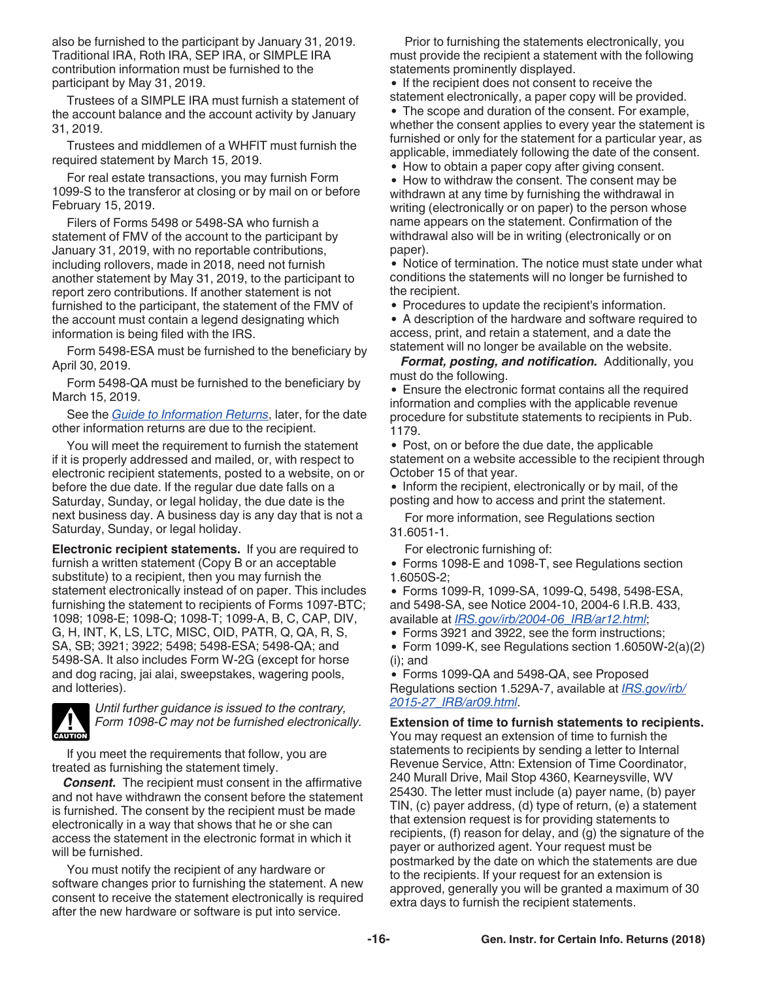<span id="page-15-0"></span>also be furnished to the participant by January 31, 2019. Traditional IRA, Roth IRA, SEP IRA, or SIMPLE IRA contribution information must be furnished to the participant by May 31, 2019.

Trustees of a SIMPLE IRA must furnish a statement of the account balance and the account activity by January 31, 2019.

Trustees and middlemen of a WHFIT must furnish the required statement by March 15, 2019.

For real estate transactions, you may furnish Form 1099-S to the transferor at closing or by mail on or before February 15, 2019.

Filers of Forms 5498 or 5498-SA who furnish a statement of FMV of the account to the participant by January 31, 2019, with no reportable contributions, including rollovers, made in 2018, need not furnish another statement by May 31, 2019, to the participant to report zero contributions. If another statement is not furnished to the participant, the statement of the FMV of the account must contain a legend designating which information is being filed with the IRS.

Form 5498-ESA must be furnished to the beneficiary by April 30, 2019.

Form 5498-QA must be furnished to the beneficiary by March 15, 2019.

See the *[Guide to Information Returns](#page-24-0)*, later, for the date other information returns are due to the recipient.

You will meet the requirement to furnish the statement if it is properly addressed and mailed, or, with respect to electronic recipient statements, posted to a website, on or before the due date. If the regular due date falls on a Saturday, Sunday, or legal holiday, the due date is the next business day. A business day is any day that is not a Saturday, Sunday, or legal holiday.

**Electronic recipient statements.** If you are required to furnish a written statement (Copy B or an acceptable substitute) to a recipient, then you may furnish the statement electronically instead of on paper. This includes furnishing the statement to recipients of Forms 1097-BTC; 1098; 1098-E; 1098-Q; 1098-T; 1099-A, B, C, CAP, DIV, G, H, INT, K, LS, LTC, MISC, OID, PATR, Q, QA, R, S, SA, SB; 3921; 3922; 5498; 5498-ESA; 5498-QA; and 5498-SA. It also includes Form W-2G (except for horse and dog racing, jai alai, sweepstakes, wagering pools, and lotteries).



*Until further guidance is issued to the contrary, Form 1098-C may not be furnished electronically.*

If you meet the requirements that follow, you are treated as furnishing the statement timely.

*Consent.* The recipient must consent in the affirmative and not have withdrawn the consent before the statement is furnished. The consent by the recipient must be made electronically in a way that shows that he or she can access the statement in the electronic format in which it will be furnished.

You must notify the recipient of any hardware or software changes prior to furnishing the statement. A new consent to receive the statement electronically is required after the new hardware or software is put into service.

Prior to furnishing the statements electronically, you must provide the recipient a statement with the following statements prominently displayed.

• If the recipient does not consent to receive the statement electronically, a paper copy will be provided.

The scope and duration of the consent. For example, whether the consent applies to every year the statement is furnished or only for the statement for a particular year, as applicable, immediately following the date of the consent.

• How to obtain a paper copy after giving consent.

• How to withdraw the consent. The consent may be withdrawn at any time by furnishing the withdrawal in writing (electronically or on paper) to the person whose name appears on the statement. Confirmation of the withdrawal also will be in writing (electronically or on paper).

• Notice of termination. The notice must state under what conditions the statements will no longer be furnished to the recipient.

Procedures to update the recipient's information.

A description of the hardware and software required to access, print, and retain a statement, and a date the statement will no longer be available on the website.

*Format, posting, and notification.* Additionally, you must do the following.

Ensure the electronic format contains all the required information and complies with the applicable revenue procedure for substitute statements to recipients in Pub. 1179.

• Post, on or before the due date, the applicable statement on a website accessible to the recipient through October 15 of that year.

• Inform the recipient, electronically or by mail, of the posting and how to access and print the statement.

For more information, see Regulations section 31.6051-1.

For electronic furnishing of:

Forms 1098-E and 1098-T, see Regulations section 1.6050S-2;

Forms 1099-R, 1099-SA, 1099-Q, 5498, 5498-ESA, and 5498-SA, see Notice 2004-10, 2004-6 I.R.B. 433, available at *[IRS.gov/irb/2004-06\\_IRB/ar12.html](https://www.irs.gov/irb/2004-06_IRB/ar12.html)*;

Forms 3921 and 3922, see the form instructions;

Form 1099-K, see Regulations section 1.6050W-2(a)(2) (i); and

Forms 1099-QA and 5498-QA, see Proposed Regulations section 1.529A-7, available at *[IRS.gov/irb/](https://www.irs.gov/irb/2015-27_IRB/ar09.html) [2015-27\\_IRB/ar09.html](https://www.irs.gov/irb/2015-27_IRB/ar09.html)*.

**Extension of time to furnish statements to recipients.** You may request an extension of time to furnish the statements to recipients by sending a letter to Internal Revenue Service, Attn: Extension of Time Coordinator, 240 Murall Drive, Mail Stop 4360, Kearneysville, WV 25430. The letter must include (a) payer name, (b) payer TIN, (c) payer address, (d) type of return, (e) a statement that extension request is for providing statements to recipients, (f) reason for delay, and (g) the signature of the payer or authorized agent. Your request must be postmarked by the date on which the statements are due to the recipients. If your request for an extension is approved, generally you will be granted a maximum of 30 extra days to furnish the recipient statements.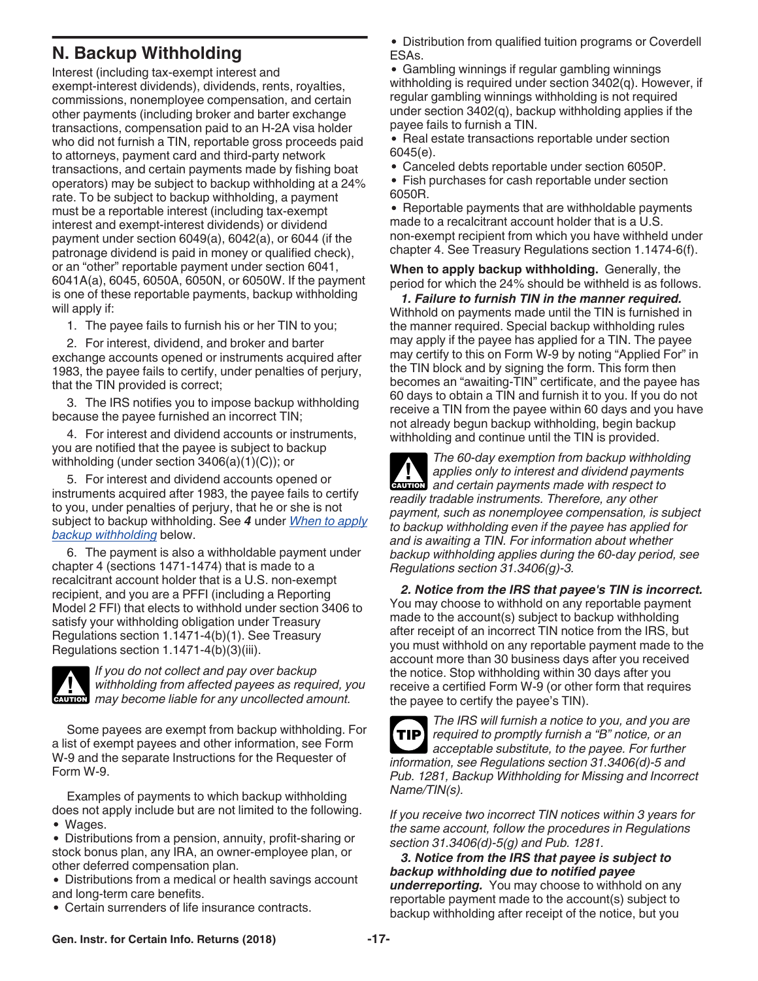# <span id="page-16-0"></span>**N. Backup Withholding**

Interest (including tax-exempt interest and exempt-interest dividends), dividends, rents, royalties, commissions, nonemployee compensation, and certain other payments (including broker and barter exchange transactions, compensation paid to an H-2A visa holder who did not furnish a TIN, reportable gross proceeds paid to attorneys, payment card and third-party network transactions, and certain payments made by fishing boat operators) may be subject to backup withholding at a 24% rate. To be subject to backup withholding, a payment must be a reportable interest (including tax-exempt interest and exempt-interest dividends) or dividend payment under section 6049(a), 6042(a), or 6044 (if the patronage dividend is paid in money or qualified check), or an "other" reportable payment under section 6041, 6041A(a), 6045, 6050A, 6050N, or 6050W. If the payment is one of these reportable payments, backup withholding will apply if:

1. The payee fails to furnish his or her TIN to you;

2. For interest, dividend, and broker and barter exchange accounts opened or instruments acquired after 1983, the payee fails to certify, under penalties of perjury, that the TIN provided is correct;

3. The IRS notifies you to impose backup withholding because the payee furnished an incorrect TIN;

4. For interest and dividend accounts or instruments, you are notified that the payee is subject to backup withholding (under section 3406(a)(1)(C)); or

5. For interest and dividend accounts opened or instruments acquired after 1983, the payee fails to certify to you, under penalties of perjury, that he or she is not subject to backup withholding. See *4* under *When to apply backup withholding* below.

6. The payment is also a withholdable payment under chapter 4 (sections 1471-1474) that is made to a recalcitrant account holder that is a U.S. non-exempt recipient, and you are a PFFI (including a Reporting Model 2 FFI) that elects to withhold under section 3406 to satisfy your withholding obligation under Treasury Regulations section 1.1471-4(b)(1). See Treasury Regulations section 1.1471-4(b)(3)(iii).



*If you do not collect and pay over backup withholding from affected payees as required, you*  withholding from affected payees as required, y<br>
may become liable for any uncollected amount.

Some payees are exempt from backup withholding. For a list of exempt payees and other information, see Form W-9 and the separate Instructions for the Requester of Form W-9.

Examples of payments to which backup withholding does not apply include but are not limited to the following. Wages.

Distributions from a pension, annuity, profit-sharing or stock bonus plan, any IRA, an owner-employee plan, or other deferred compensation plan.

Distributions from a medical or health savings account and long-term care benefits.

Certain surrenders of life insurance contracts.

Distribution from qualified tuition programs or Coverdell ESAs.

Gambling winnings if regular gambling winnings withholding is required under section 3402(q). However, if regular gambling winnings withholding is not required under section 3402(q), backup withholding applies if the payee fails to furnish a TIN.

• Real estate transactions reportable under section 6045(e).

- Canceled debts reportable under section 6050P.
- Fish purchases for cash reportable under section 6050R.

• Reportable payments that are withholdable payments made to a recalcitrant account holder that is a U.S. non-exempt recipient from which you have withheld under chapter 4. See Treasury Regulations section 1.1474-6(f).

**When to apply backup withholding.** Generally, the period for which the 24% should be withheld is as follows.

*1. Failure to furnish TIN in the manner required.*  Withhold on payments made until the TIN is furnished in the manner required. Special backup withholding rules may apply if the payee has applied for a TIN. The payee may certify to this on Form W-9 by noting "Applied For" in the TIN block and by signing the form. This form then becomes an "awaiting-TIN" certificate, and the payee has 60 days to obtain a TIN and furnish it to you. If you do not receive a TIN from the payee within 60 days and you have not already begun backup withholding, begin backup withholding and continue until the TIN is provided.



*The 60-day exemption from backup withholding applies only to interest and dividend payments*  **z** applies only to interest and dividend payments made with respect to *readily tradable instruments. Therefore, any other payment, such as nonemployee compensation, is subject to backup withholding even if the payee has applied for and is awaiting a TIN. For information about whether backup withholding applies during the 60-day period, see Regulations section 31.3406(g)-3.*

*2. Notice from the IRS that payee's TIN is incorrect.*  You may choose to withhold on any reportable payment made to the account(s) subject to backup withholding after receipt of an incorrect TIN notice from the IRS, but you must withhold on any reportable payment made to the account more than 30 business days after you received the notice. Stop withholding within 30 days after you receive a certified Form W-9 (or other form that requires the payee to certify the payee's TIN).

*The IRS will furnish a notice to you, and you are required to promptly furnish a "B" notice, or an acceptable substitute, to the payee. For further information, see Regulations section 31.3406(d)-5 and Pub. 1281, Backup Withholding for Missing and Incorrect Name/TIN(s).* **TIP**

*If you receive two incorrect TIN notices within 3 years for the same account, follow the procedures in Regulations section 31.3406(d)-5(g) and Pub. 1281.*

*3. Notice from the IRS that payee is subject to backup withholding due to notified payee underreporting.* You may choose to withhold on any reportable payment made to the account(s) subject to backup withholding after receipt of the notice, but you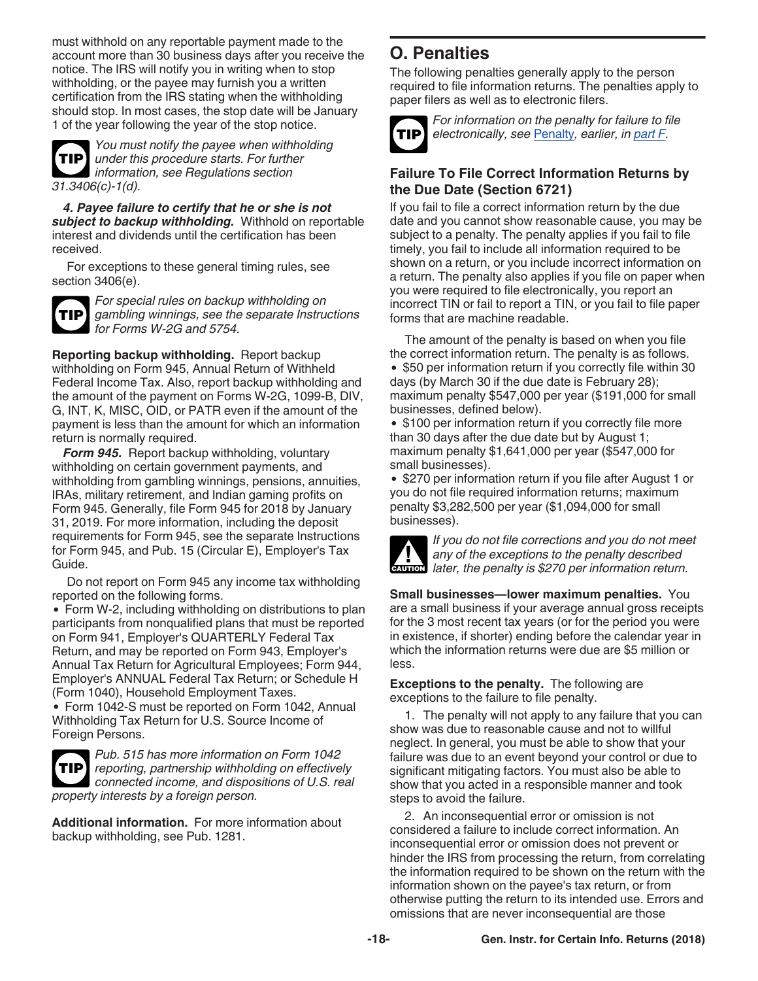<span id="page-17-0"></span>must withhold on any reportable payment made to the account more than 30 business days after you receive the notice. The IRS will notify you in writing when to stop withholding, or the payee may furnish you a written certification from the IRS stating when the withholding should stop. In most cases, the stop date will be January 1 of the year following the year of the stop notice.



*You must notify the payee when withholding under this procedure starts. For further information, see Regulations section 31.3406(c)-1(d).*

*4. Payee failure to certify that he or she is not subject to backup withholding.* Withhold on reportable interest and dividends until the certification has been received.

For exceptions to these general timing rules, see section 3406(e).



*For special rules on backup withholding on gambling winnings, see the separate Instructions for Forms W-2G and 5754.*

**Reporting backup withholding.** Report backup withholding on Form 945, Annual Return of Withheld Federal Income Tax. Also, report backup withholding and the amount of the payment on Forms W-2G, 1099-B, DIV, G, INT, K, MISC, OID, or PATR even if the amount of the payment is less than the amount for which an information return is normally required.

*Form 945.* Report backup withholding, voluntary withholding on certain government payments, and withholding from gambling winnings, pensions, annuities, IRAs, military retirement, and Indian gaming profits on Form 945. Generally, file Form 945 for 2018 by January 31, 2019. For more information, including the deposit requirements for Form 945, see the separate Instructions for Form 945, and Pub. 15 (Circular E), Employer's Tax Guide.

Do not report on Form 945 any income tax withholding reported on the following forms.

Form W-2, including withholding on distributions to plan participants from nonqualified plans that must be reported on Form 941, Employer's QUARTERLY Federal Tax Return, and may be reported on Form 943, Employer's Annual Tax Return for Agricultural Employees; Form 944, Employer's ANNUAL Federal Tax Return; or Schedule H (Form 1040), Household Employment Taxes.

Form 1042-S must be reported on Form 1042, Annual Withholding Tax Return for U.S. Source Income of Foreign Persons.



*Pub. 515 has more information on Form 1042 reporting, partnership withholding on effectively*  **TIP** *connected income, and dispositions of U.S. real property interests by a foreign person.*

**Additional information.** For more information about backup withholding, see Pub. 1281.

# **O. Penalties**

The following penalties generally apply to the person required to file information returns. The penalties apply to paper filers as well as to electronic filers.



*For information on the penalty for failure to file electronically, see* [Penalty](#page-8-0)*, earlier, in [part F.](#page-7-0)*

### **Failure To File Correct Information Returns by the Due Date (Section 6721)**

If you fail to file a correct information return by the due date and you cannot show reasonable cause, you may be subject to a penalty. The penalty applies if you fail to file timely, you fail to include all information required to be shown on a return, or you include incorrect information on a return. The penalty also applies if you file on paper when you were required to file electronically, you report an incorrect TIN or fail to report a TIN, or you fail to file paper forms that are machine readable.

The amount of the penalty is based on when you file the correct information return. The penalty is as follows. • \$50 per information return if you correctly file within 30 days (by March 30 if the due date is February 28); maximum penalty \$547,000 per year (\$191,000 for small businesses, defined below).

• \$100 per information return if you correctly file more than 30 days after the due date but by August 1; maximum penalty \$1,641,000 per year (\$547,000 for small businesses).

• \$270 per information return if you file after August 1 or you do not file required information returns; maximum penalty \$3,282,500 per year (\$1,094,000 for small businesses).



*If you do not file corrections and you do not meet any of the exceptions to the penalty described later, the penalty is \$270 per information return.*

**Small businesses—lower maximum penalties.** You are a small business if your average annual gross receipts for the 3 most recent tax years (or for the period you were in existence, if shorter) ending before the calendar year in which the information returns were due are \$5 million or less.

**Exceptions to the penalty.** The following are exceptions to the failure to file penalty.

1. The penalty will not apply to any failure that you can show was due to reasonable cause and not to willful neglect. In general, you must be able to show that your failure was due to an event beyond your control or due to significant mitigating factors. You must also be able to show that you acted in a responsible manner and took steps to avoid the failure.

2. An inconsequential error or omission is not considered a failure to include correct information. An inconsequential error or omission does not prevent or hinder the IRS from processing the return, from correlating the information required to be shown on the return with the information shown on the payee's tax return, or from otherwise putting the return to its intended use. Errors and omissions that are never inconsequential are those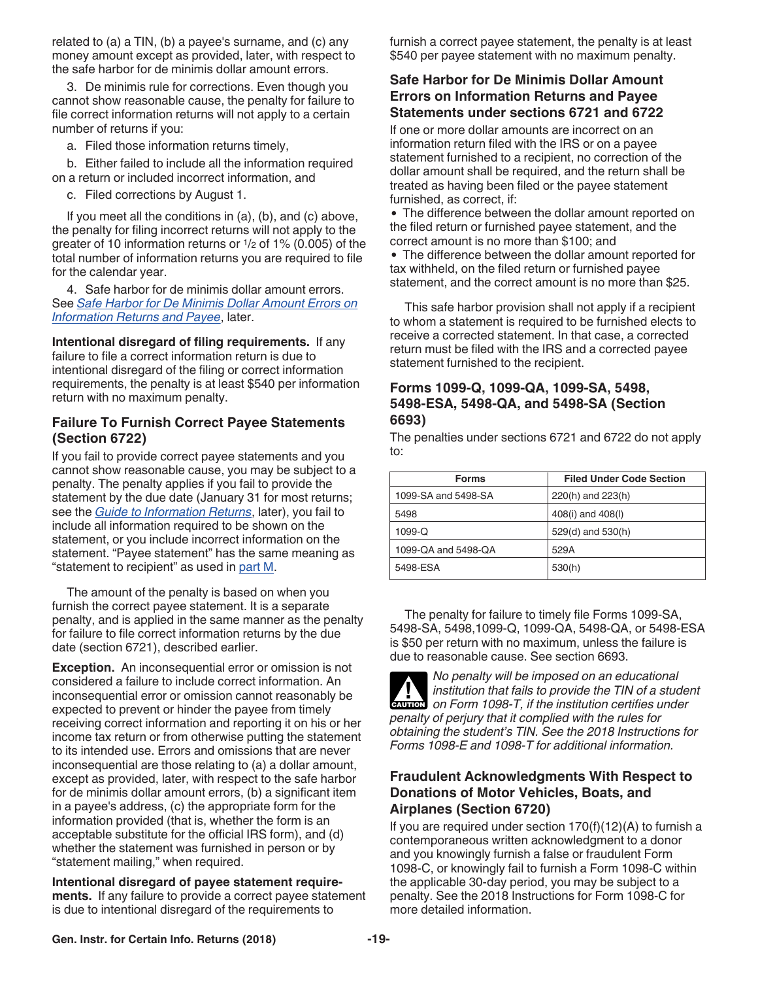related to (a) a TIN, (b) a payee's surname, and (c) any money amount except as provided, later, with respect to the safe harbor for de minimis dollar amount errors.

3. De minimis rule for corrections. Even though you cannot show reasonable cause, the penalty for failure to file correct information returns will not apply to a certain number of returns if you:

a. Filed those information returns timely,

b. Either failed to include all the information required on a return or included incorrect information, and

c. Filed corrections by August 1.

If you meet all the conditions in (a), (b), and (c) above, the penalty for filing incorrect returns will not apply to the greater of 10 information returns or 1/2 of 1% (0.005) of the total number of information returns you are required to file for the calendar year.

4. Safe harbor for de minimis dollar amount errors. See *Safe Harbor for De Minimis Dollar Amount Errors on Information Returns and Payee*, later.

**Intentional disregard of filing requirements.** If any failure to file a correct information return is due to intentional disregard of the filing or correct information requirements, the penalty is at least \$540 per information return with no maximum penalty.

### **Failure To Furnish Correct Payee Statements (Section 6722)**

If you fail to provide correct payee statements and you cannot show reasonable cause, you may be subject to a penalty. The penalty applies if you fail to provide the statement by the due date (January 31 for most returns; see the *[Guide to Information Returns](#page-24-0)*, later), you fail to include all information required to be shown on the statement, or you include incorrect information on the statement. "Payee statement" has the same meaning as "statement to recipient" as used in [part M](#page-13-0).

The amount of the penalty is based on when you furnish the correct payee statement. It is a separate penalty, and is applied in the same manner as the penalty for failure to file correct information returns by the due date (section 6721), described earlier.

**Exception.** An inconsequential error or omission is not considered a failure to include correct information. An inconsequential error or omission cannot reasonably be expected to prevent or hinder the payee from timely receiving correct information and reporting it on his or her income tax return or from otherwise putting the statement to its intended use. Errors and omissions that are never inconsequential are those relating to (a) a dollar amount, except as provided, later, with respect to the safe harbor for de minimis dollar amount errors, (b) a significant item in a payee's address, (c) the appropriate form for the information provided (that is, whether the form is an acceptable substitute for the official IRS form), and (d) whether the statement was furnished in person or by "statement mailing," when required.

**Intentional disregard of payee statement requirements.** If any failure to provide a correct payee statement is due to intentional disregard of the requirements to

furnish a correct payee statement, the penalty is at least \$540 per payee statement with no maximum penalty.

### **Safe Harbor for De Minimis Dollar Amount Errors on Information Returns and Payee Statements under sections 6721 and 6722**

If one or more dollar amounts are incorrect on an information return filed with the IRS or on a payee statement furnished to a recipient, no correction of the dollar amount shall be required, and the return shall be treated as having been filed or the payee statement furnished, as correct, if:

The difference between the dollar amount reported on the filed return or furnished payee statement, and the correct amount is no more than \$100; and

The difference between the dollar amount reported for tax withheld, on the filed return or furnished payee statement, and the correct amount is no more than \$25.

This safe harbor provision shall not apply if a recipient to whom a statement is required to be furnished elects to receive a corrected statement. In that case, a corrected return must be filed with the IRS and a corrected payee statement furnished to the recipient.

#### **Forms 1099-Q, 1099-QA, 1099-SA, 5498, 5498-ESA, 5498-QA, and 5498-SA (Section 6693)**

The penalties under sections 6721 and 6722 do not apply to:

| <b>Forms</b>        | <b>Filed Under Code Section</b> |
|---------------------|---------------------------------|
| 1099-SA and 5498-SA | 220(h) and 223(h)               |
| 5498                | 408(i) and 408(l)               |
| 1099-Q              | 529(d) and 530(h)               |
| 1099-QA and 5498-QA | 529A                            |
| 5498-ESA            | 530(h)                          |

The penalty for failure to timely file Forms 1099-SA, 5498-SA, 5498,1099-Q, 1099-QA, 5498-QA, or 5498-ESA is \$50 per return with no maximum, unless the failure is due to reasonable cause. See section 6693.



*No penalty will be imposed on an educational institution that fails to provide the TIN of a student on Form 1098-T, if the institution certifies under penalty of perjury that it complied with the rules for obtaining the student's TIN. See the 2018 Instructions for Forms 1098-E and 1098-T for additional information.*

### **Fraudulent Acknowledgments With Respect to Donations of Motor Vehicles, Boats, and Airplanes (Section 6720)**

If you are required under section 170(f)(12)(A) to furnish a contemporaneous written acknowledgment to a donor and you knowingly furnish a false or fraudulent Form 1098-C, or knowingly fail to furnish a Form 1098-C within the applicable 30-day period, you may be subject to a penalty. See the 2018 Instructions for Form 1098-C for more detailed information.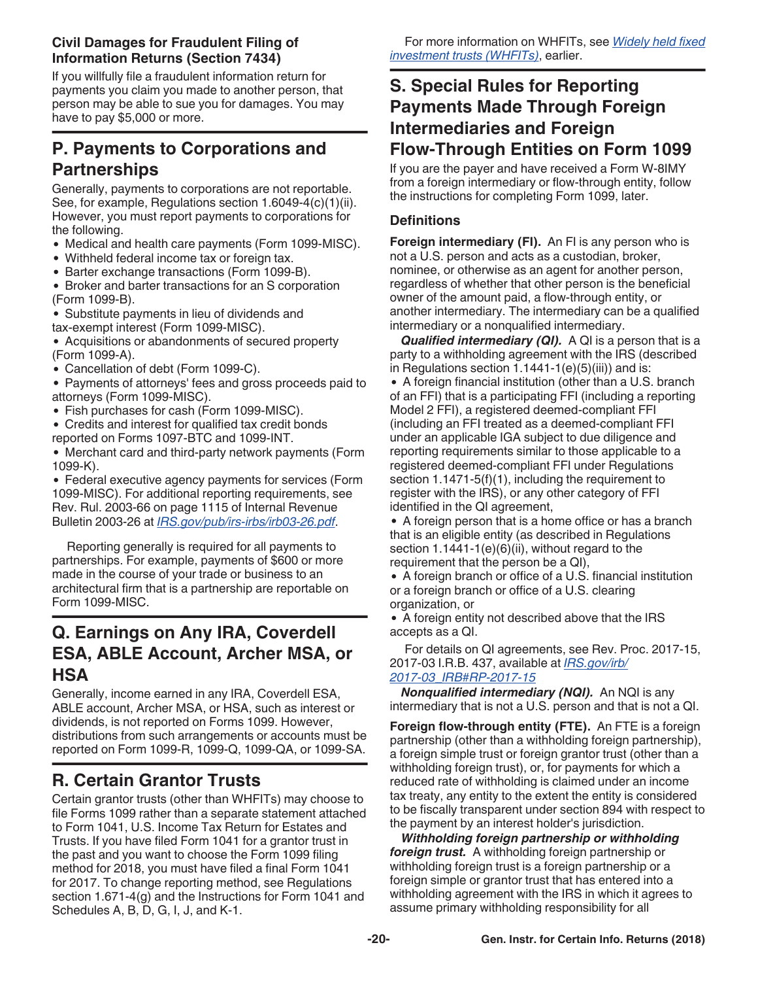### <span id="page-19-0"></span>**Civil Damages for Fraudulent Filing of Information Returns (Section 7434)**

If you willfully file a fraudulent information return for payments you claim you made to another person, that person may be able to sue you for damages. You may have to pay \$5,000 or more.

# **P. Payments to Corporations and Partnerships**

Generally, payments to corporations are not reportable. See, for example, Regulations section 1.6049-4(c)(1)(ii). However, you must report payments to corporations for the following.

- Medical and health care payments (Form 1099-MISC).
- Withheld federal income tax or foreign tax.
- Barter exchange transactions (Form 1099-B).

Broker and barter transactions for an S corporation (Form 1099-B).

Substitute payments in lieu of dividends and tax-exempt interest (Form 1099-MISC).

Acquisitions or abandonments of secured property (Form 1099-A).

Cancellation of debt (Form 1099-C).

• Payments of attorneys' fees and gross proceeds paid to attorneys (Form 1099-MISC).

Fish purchases for cash (Form 1099-MISC).

Credits and interest for qualified tax credit bonds reported on Forms 1097-BTC and 1099-INT.

Merchant card and third-party network payments (Form 1099-K).

Federal executive agency payments for services (Form 1099-MISC). For additional reporting requirements, see Rev. Rul. 2003-66 on page 1115 of Internal Revenue Bulletin 2003-26 at *[IRS.gov/pub/irs-irbs/irb03-26.pdf](https://www.irs.gov/pub/irs-irbs/irb03-26.pdf)*.

Reporting generally is required for all payments to partnerships. For example, payments of \$600 or more made in the course of your trade or business to an architectural firm that is a partnership are reportable on Form 1099-MISC.

# **Q. Earnings on Any IRA, Coverdell ESA, ABLE Account, Archer MSA, or HSA**

Generally, income earned in any IRA, Coverdell ESA, ABLE account, Archer MSA, or HSA, such as interest or dividends, is not reported on Forms 1099. However, distributions from such arrangements or accounts must be reported on Form 1099-R, 1099-Q, 1099-QA, or 1099-SA.

# **R. Certain Grantor Trusts**

Certain grantor trusts (other than WHFITs) may choose to file Forms 1099 rather than a separate statement attached to Form 1041, U.S. Income Tax Return for Estates and Trusts. If you have filed Form 1041 for a grantor trust in the past and you want to choose the Form 1099 filing method for 2018, you must have filed a final Form 1041 for 2017. To change reporting method, see Regulations section 1.671-4(g) and the Instructions for Form 1041 and Schedules A, B, D, G, I, J, and K-1.

# **S. Special Rules for Reporting Payments Made Through Foreign Intermediaries and Foreign Flow-Through Entities on Form 1099**

If you are the payer and have received a Form W-8IMY from a foreign intermediary or flow-through entity, follow the instructions for completing Form 1099, later.

### **Definitions**

**Foreign intermediary (FI).** An FI is any person who is not a U.S. person and acts as a custodian, broker, nominee, or otherwise as an agent for another person, regardless of whether that other person is the beneficial owner of the amount paid, a flow-through entity, or another intermediary. The intermediary can be a qualified intermediary or a nonqualified intermediary.

*Qualified intermediary (QI).* A QI is a person that is a party to a withholding agreement with the IRS (described in Regulations section  $1.1441 - 1(e)(5)(iii)$  and is: A foreign financial institution (other than a U.S. branch of an FFI) that is a participating FFI (including a reporting Model 2 FFI), a registered deemed-compliant FFI (including an FFI treated as a deemed-compliant FFI under an applicable IGA subject to due diligence and reporting requirements similar to those applicable to a registered deemed-compliant FFI under Regulations section 1.1471-5(f)(1), including the requirement to register with the IRS), or any other category of FFI identified in the QI agreement,

A foreign person that is a home office or has a branch that is an eligible entity (as described in Regulations section  $1.1441-1(e)(6)(ii)$ , without regard to the requirement that the person be a QI),

A foreign branch or office of a U.S. financial institution or a foreign branch or office of a U.S. clearing organization, or

A foreign entity not described above that the IRS accepts as a QI.

For details on QI agreements, see Rev. Proc. 2017-15, 2017-03 I.R.B. 437, available at *[IRS.gov/irb/](https://www.irs.gov/irb/2017-03_IRB#RP-2017-15l) [2017-03\\_IRB#RP-2017-15](https://www.irs.gov/irb/2017-03_IRB#RP-2017-15l)*

*Nonqualified intermediary (NQI).* An NQI is any intermediary that is not a U.S. person and that is not a QI.

**Foreign flow-through entity (FTE).** An FTE is a foreign partnership (other than a withholding foreign partnership), a foreign simple trust or foreign grantor trust (other than a withholding foreign trust), or, for payments for which a reduced rate of withholding is claimed under an income tax treaty, any entity to the extent the entity is considered to be fiscally transparent under section 894 with respect to the payment by an interest holder's jurisdiction.

*Withholding foreign partnership or withholding foreign trust.* A withholding foreign partnership or withholding foreign trust is a foreign partnership or a foreign simple or grantor trust that has entered into a withholding agreement with the IRS in which it agrees to assume primary withholding responsibility for all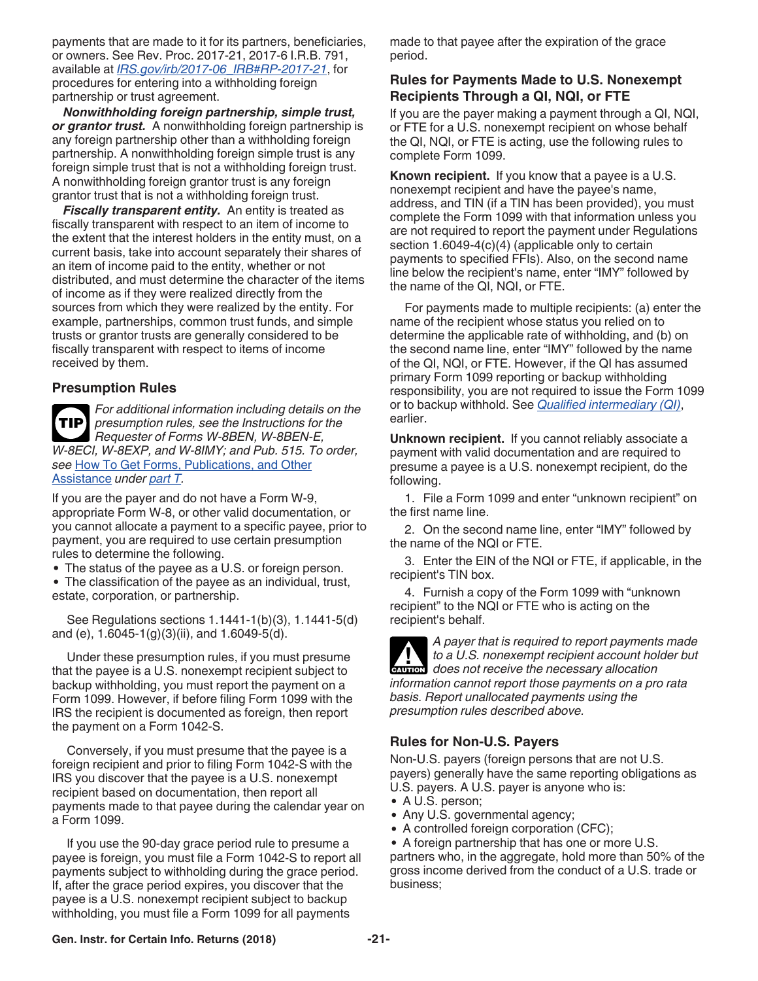<span id="page-20-0"></span>payments that are made to it for its partners, beneficiaries, or owners. See Rev. Proc. 2017-21, 2017-6 I.R.B. 791, available at *[IRS.gov/irb/2017-06\\_IRB#RP-2017-21](https://www.irs.gov/irb/2017-06_IRB#RP-2017-21)*, for procedures for entering into a withholding foreign partnership or trust agreement.

*Nonwithholding foreign partnership, simple trust, or grantor trust.* A nonwithholding foreign partnership is any foreign partnership other than a withholding foreign partnership. A nonwithholding foreign simple trust is any foreign simple trust that is not a withholding foreign trust. A nonwithholding foreign grantor trust is any foreign grantor trust that is not a withholding foreign trust.

**Fiscally transparent entity.** An entity is treated as fiscally transparent with respect to an item of income to the extent that the interest holders in the entity must, on a current basis, take into account separately their shares of an item of income paid to the entity, whether or not distributed, and must determine the character of the items of income as if they were realized directly from the sources from which they were realized by the entity. For example, partnerships, common trust funds, and simple trusts or grantor trusts are generally considered to be fiscally transparent with respect to items of income received by them.

#### **Presumption Rules**

*For additional information including details on the presumption rules, see the Instructions for the Requester of Forms W-8BEN, W-8BEN-E, W-8ECI, W-8EXP, and W-8IMY; and Pub. 515. To order, see* [How To Get Forms, Publications, and Other](#page-21-0)  [Assistance](#page-21-0) *under [part T](#page-21-0).* **TIP**

If you are the payer and do not have a Form W-9, appropriate Form W-8, or other valid documentation, or you cannot allocate a payment to a specific payee, prior to payment, you are required to use certain presumption rules to determine the following.

The status of the payee as a U.S. or foreign person.

The classification of the payee as an individual, trust, estate, corporation, or partnership.

See Regulations sections 1.1441-1(b)(3), 1.1441-5(d) and (e), 1.6045-1(g)(3)(ii), and 1.6049-5(d).

Under these presumption rules, if you must presume that the payee is a U.S. nonexempt recipient subject to backup withholding, you must report the payment on a Form 1099. However, if before filing Form 1099 with the IRS the recipient is documented as foreign, then report the payment on a Form 1042-S.

Conversely, if you must presume that the payee is a foreign recipient and prior to filing Form 1042-S with the IRS you discover that the payee is a U.S. nonexempt recipient based on documentation, then report all payments made to that payee during the calendar year on a Form 1099.

If you use the 90-day grace period rule to presume a payee is foreign, you must file a Form 1042-S to report all payments subject to withholding during the grace period. If, after the grace period expires, you discover that the payee is a U.S. nonexempt recipient subject to backup withholding, you must file a Form 1099 for all payments

made to that payee after the expiration of the grace period.

### **Rules for Payments Made to U.S. Nonexempt Recipients Through a QI, NQI, or FTE**

If you are the payer making a payment through a QI, NQI, or FTE for a U.S. nonexempt recipient on whose behalf the QI, NQI, or FTE is acting, use the following rules to complete Form 1099.

**Known recipient.** If you know that a payee is a U.S. nonexempt recipient and have the payee's name, address, and TIN (if a TIN has been provided), you must complete the Form 1099 with that information unless you are not required to report the payment under Regulations section 1.6049-4(c)(4) (applicable only to certain payments to specified FFIs). Also, on the second name line below the recipient's name, enter "IMY" followed by the name of the QI, NQI, or FTE.

For payments made to multiple recipients: (a) enter the name of the recipient whose status you relied on to determine the applicable rate of withholding, and (b) on the second name line, enter "IMY" followed by the name of the QI, NQI, or FTE. However, if the QI has assumed primary Form 1099 reporting or backup withholding responsibility, you are not required to issue the Form 1099 or to backup withhold. See *[Qualified intermediary \(QI\)](#page-19-0)*, earlier.

**Unknown recipient.** If you cannot reliably associate a payment with valid documentation and are required to presume a payee is a U.S. nonexempt recipient, do the following.

1. File a Form 1099 and enter "unknown recipient" on the first name line.

2. On the second name line, enter "IMY" followed by the name of the NQI or FTE.

3. Enter the EIN of the NQI or FTE, if applicable, in the recipient's TIN box.

4. Furnish a copy of the Form 1099 with "unknown recipient" to the NQI or FTE who is acting on the recipient's behalf.



### **Rules for Non-U.S. Payers**

Non-U.S. payers (foreign persons that are not U.S. payers) generally have the same reporting obligations as U.S. payers. A U.S. payer is anyone who is:

- A U.S. person;
- Any U.S. governmental agency;
- A controlled foreign corporation (CFC);
- A foreign partnership that has one or more U.S. partners who, in the aggregate, hold more than 50% of the gross income derived from the conduct of a U.S. trade or business;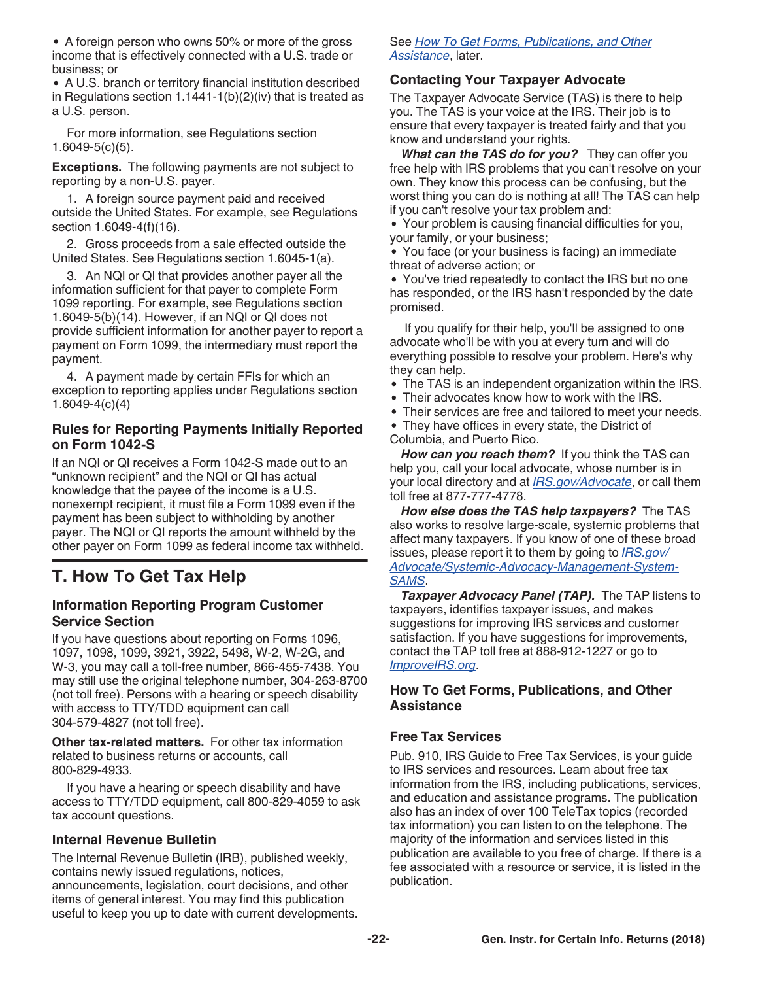<span id="page-21-0"></span>• A foreign person who owns 50% or more of the gross income that is effectively connected with a U.S. trade or business; or

A U.S. branch or territory financial institution described in Regulations section 1.1441-1(b)(2)(iv) that is treated as a U.S. person.

For more information, see Regulations section 1.6049-5(c)(5).

**Exceptions.** The following payments are not subject to reporting by a non-U.S. payer.

1. A foreign source payment paid and received outside the United States. For example, see Regulations section 1.6049-4(f)(16).

2. Gross proceeds from a sale effected outside the United States. See Regulations section 1.6045-1(a).

3. An NQI or QI that provides another payer all the information sufficient for that payer to complete Form 1099 reporting. For example, see Regulations section 1.6049-5(b)(14). However, if an NQI or QI does not provide sufficient information for another payer to report a payment on Form 1099, the intermediary must report the payment.

4. A payment made by certain FFIs for which an exception to reporting applies under Regulations section 1.6049-4(c)(4)

### **Rules for Reporting Payments Initially Reported on Form 1042-S**

If an NQI or QI receives a Form 1042-S made out to an "unknown recipient" and the NQI or QI has actual knowledge that the payee of the income is a U.S. nonexempt recipient, it must file a Form 1099 even if the payment has been subject to withholding by another payer. The NQI or QI reports the amount withheld by the other payer on Form 1099 as federal income tax withheld.

# **T. How To Get Tax Help**

#### **Information Reporting Program Customer Service Section**

If you have questions about reporting on Forms 1096, 1097, 1098, 1099, 3921, 3922, 5498, W-2, W-2G, and W-3, you may call a toll-free number, 866-455-7438. You may still use the original telephone number, 304-263-8700 (not toll free). Persons with a hearing or speech disability with access to TTY/TDD equipment can call 304-579-4827 (not toll free).

**Other tax-related matters.** For other tax information related to business returns or accounts, call 800-829-4933.

If you have a hearing or speech disability and have access to TTY/TDD equipment, call 800-829-4059 to ask tax account questions.

### **Internal Revenue Bulletin**

The Internal Revenue Bulletin (IRB), published weekly, contains newly issued regulations, notices, announcements, legislation, court decisions, and other items of general interest. You may find this publication useful to keep you up to date with current developments.

#### See *How To Get Forms, Publications, and Other Assistance*, later.

### **Contacting Your Taxpayer Advocate**

The Taxpayer Advocate Service (TAS) is there to help you. The TAS is your voice at the IRS. Their job is to ensure that every taxpayer is treated fairly and that you know and understand your rights.

*What can the TAS do for you?* They can offer you free help with IRS problems that you can't resolve on your own. They know this process can be confusing, but the worst thing you can do is nothing at all! The TAS can help if you can't resolve your tax problem and:

Your problem is causing financial difficulties for you, your family, or your business;

You face (or your business is facing) an immediate threat of adverse action; or

You've tried repeatedly to contact the IRS but no one has responded, or the IRS hasn't responded by the date promised.

If you qualify for their help, you'll be assigned to one advocate who'll be with you at every turn and will do everything possible to resolve your problem. Here's why they can help.

- The TAS is an independent organization within the IRS.
- Their advocates know how to work with the IRS.
- Their services are free and tailored to meet your needs.  $\bullet$
- They have offices in every state, the District of Columbia, and Puerto Rico.

*How can you reach them?* If you think the TAS can help you, call your local advocate, whose number is in your local directory and at *[IRS.gov/Advocate](https://www.irs.gov/uac/Taxpayer-Advocate-Service-6)*, or call them toll free at 877-777-4778.

*How else does the TAS help taxpayers?* The TAS also works to resolve large-scale, systemic problems that affect many taxpayers. If you know of one of these broad issues, please report it to them by going to *[IRS.gov/](https://www.irs.gov/Advocate/Systemic-Advocacy-Management-System-SAMS) [Advocate/Systemic-Advocacy-Management-System-](https://www.irs.gov/Advocate/Systemic-Advocacy-Management-System-SAMS)[SAMS](https://www.irs.gov/Advocate/Systemic-Advocacy-Management-System-SAMS)*.

**Taxpayer Advocacy Panel (TAP).** The TAP listens to taxpayers, identifies taxpayer issues, and makes suggestions for improving IRS services and customer satisfaction. If you have suggestions for improvements, contact the TAP toll free at 888-912-1227 or go to *[ImproveIRS.org](http://www.improveirs.org/)*.

### **How To Get Forms, Publications, and Other Assistance**

#### **Free Tax Services**

Pub. 910, IRS Guide to Free Tax Services, is your guide to IRS services and resources. Learn about free tax information from the IRS, including publications, services, and education and assistance programs. The publication also has an index of over 100 TeleTax topics (recorded tax information) you can listen to on the telephone. The majority of the information and services listed in this publication are available to you free of charge. If there is a fee associated with a resource or service, it is listed in the publication.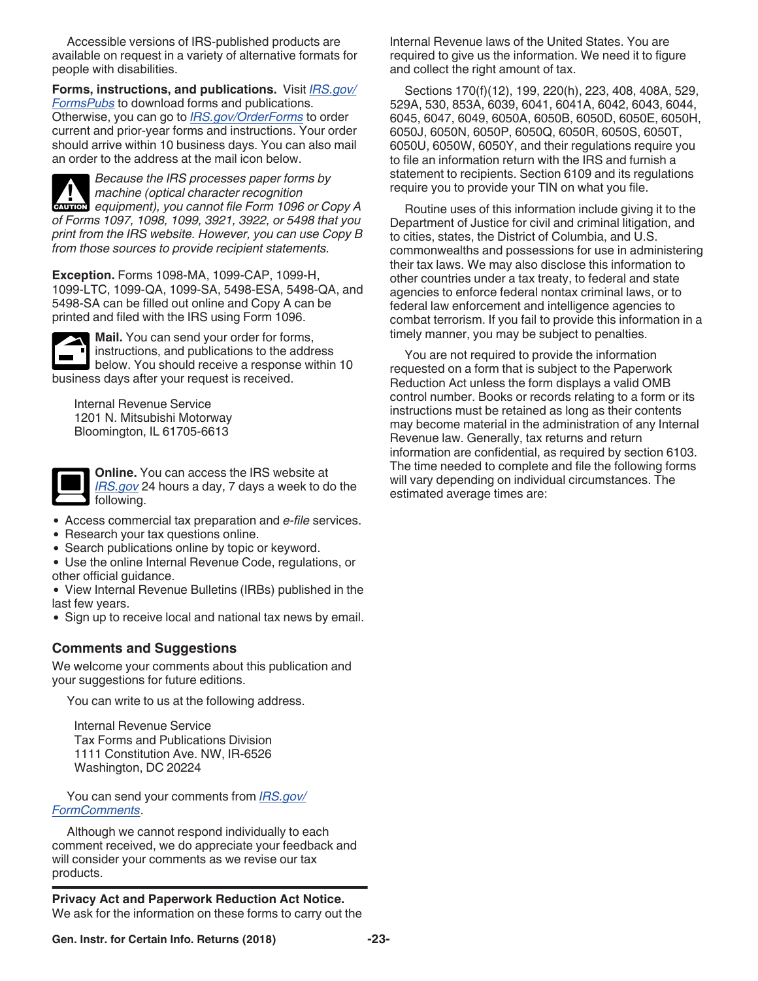Accessible versions of IRS-published products are available on request in a variety of alternative formats for people with disabilities.

**Forms, instructions, and publications.** Visit *[IRS.gov/](https://www.irs.gov/formspubs) [FormsPubs](https://www.irs.gov/formspubs)* to download forms and publications. Otherwise, you can go to *[IRS.gov/OrderForms](https://www.irs.gov/orderforms)* to order current and prior-year forms and instructions. Your order should arrive within 10 business days. You can also mail an order to the address at the mail icon below.

*Because the IRS processes paper forms by machine (optical character recognition*  **Properties Analysis of the** *equipment*), you cannot file Form 1096 or Copy A *of Forms 1097, 1098, 1099, 3921, 3922, or 5498 that you print from the IRS website. However, you can use Copy B from those sources to provide recipient statements.*

**Exception.** Forms 1098-MA, 1099-CAP, 1099-H, 1099-LTC, 1099-QA, 1099-SA, 5498-ESA, 5498-QA, and 5498-SA can be filled out online and Copy A can be printed and filed with the IRS using Form 1096.



**Mail.** You can send your order for forms, instructions, and publications to the address below. You should receive a response within 10 business days after your request is received.

Internal Revenue Service 1201 N. Mitsubishi Motorway Bloomington, IL 61705-6613



**Online.** You can access the IRS website at *[IRS.gov](https://www.irs.gov)* 24 hours a day, 7 days a week to do the following.

- Access commercial tax preparation and *e-file* services.
- Research your tax questions online.
- Search publications online by topic or keyword.
- Use the online Internal Revenue Code, regulations, or other official guidance.

View Internal Revenue Bulletins (IRBs) published in the last few years.

• Sign up to receive local and national tax news by email.

### **Comments and Suggestions**

We welcome your comments about this publication and your suggestions for future editions.

You can write to us at the following address.

Internal Revenue Service Tax Forms and Publications Division 1111 Constitution Ave. NW, IR-6526 Washington, DC 20224

You can send your comments from *[IRS.gov/](https://www.irs.gov/FormComment) [FormComments](https://www.irs.gov/FormComment)*.

Although we cannot respond individually to each comment received, we do appreciate your feedback and will consider your comments as we revise our tax products.

**Privacy Act and Paperwork Reduction Act Notice.**  We ask for the information on these forms to carry out the Internal Revenue laws of the United States. You are required to give us the information. We need it to figure and collect the right amount of tax.

Sections 170(f)(12), 199, 220(h), 223, 408, 408A, 529, 529A, 530, 853A, 6039, 6041, 6041A, 6042, 6043, 6044, 6045, 6047, 6049, 6050A, 6050B, 6050D, 6050E, 6050H, 6050J, 6050N, 6050P, 6050Q, 6050R, 6050S, 6050T, 6050U, 6050W, 6050Y, and their regulations require you to file an information return with the IRS and furnish a statement to recipients. Section 6109 and its regulations require you to provide your TIN on what you file.

Routine uses of this information include giving it to the Department of Justice for civil and criminal litigation, and to cities, states, the District of Columbia, and U.S. commonwealths and possessions for use in administering their tax laws. We may also disclose this information to other countries under a tax treaty, to federal and state agencies to enforce federal nontax criminal laws, or to federal law enforcement and intelligence agencies to combat terrorism. If you fail to provide this information in a timely manner, you may be subject to penalties.

You are not required to provide the information requested on a form that is subject to the Paperwork Reduction Act unless the form displays a valid OMB control number. Books or records relating to a form or its instructions must be retained as long as their contents may become material in the administration of any Internal Revenue law. Generally, tax returns and return information are confidential, as required by section 6103. The time needed to complete and file the following forms will vary depending on individual circumstances. The estimated average times are: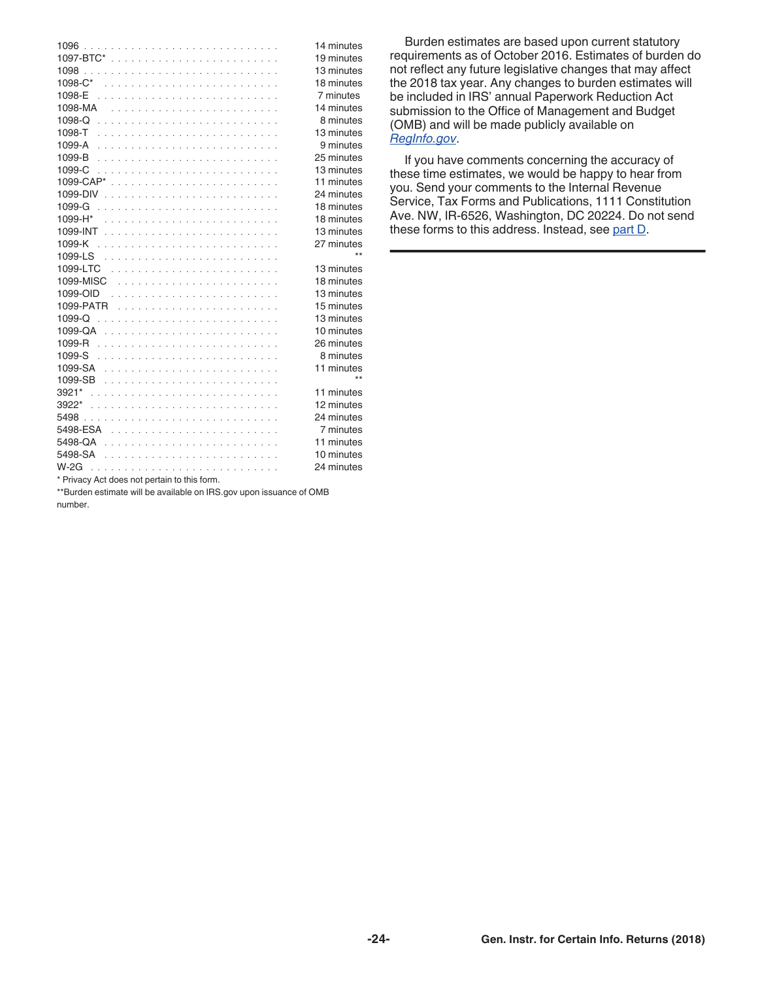|                                               | 14 minutes |
|-----------------------------------------------|------------|
|                                               | 19 minutes |
|                                               | 13 minutes |
|                                               | 18 minutes |
|                                               | 7 minutes  |
|                                               | 14 minutes |
|                                               | 8 minutes  |
|                                               | 13 minutes |
|                                               | 9 minutes  |
|                                               | 25 minutes |
| 1099-C                                        | 13 minutes |
|                                               | 11 minutes |
|                                               | 24 minutes |
| 1099-G                                        | 18 minutes |
|                                               | 18 minutes |
|                                               | 13 minutes |
|                                               | 27 minutes |
|                                               | $**$       |
|                                               | 13 minutes |
|                                               | 18 minutes |
|                                               | 13 minutes |
|                                               | 15 minutes |
|                                               | 13 minutes |
|                                               | 10 minutes |
|                                               | 26 minutes |
|                                               | 8 minutes  |
|                                               | 11 minutes |
|                                               | $**$       |
|                                               | 11 minutes |
|                                               | 12 minutes |
|                                               | 24 minutes |
|                                               | 7 minutes  |
|                                               | 11 minutes |
|                                               | 10 minutes |
|                                               | 24 minutes |
| $*$ Primary Act does not pertain to this form |            |

Privacy Act does not pertain to this form.

\*\*Burden estimate will be available on IRS.gov upon issuance of OMB number.

Burden estimates are based upon current statutory requirements as of October 2016. Estimates of burden do not reflect any future legislative changes that may affect the 2018 tax year. Any changes to burden estimates will be included in IRS' annual Paperwork Reduction Act submission to the Office of Management and Budget (OMB) and will be made publicly available on *[RegInfo.gov](http://www.reginfo.gov)*.

If you have comments concerning the accuracy of these time estimates, we would be happy to hear from you. Send your comments to the Internal Revenue Service, Tax Forms and Publications, 1111 Constitution Ave. NW, IR-6526, Washington, DC 20224. Do not send these forms to this address. Instead, see [part D.](#page-6-0)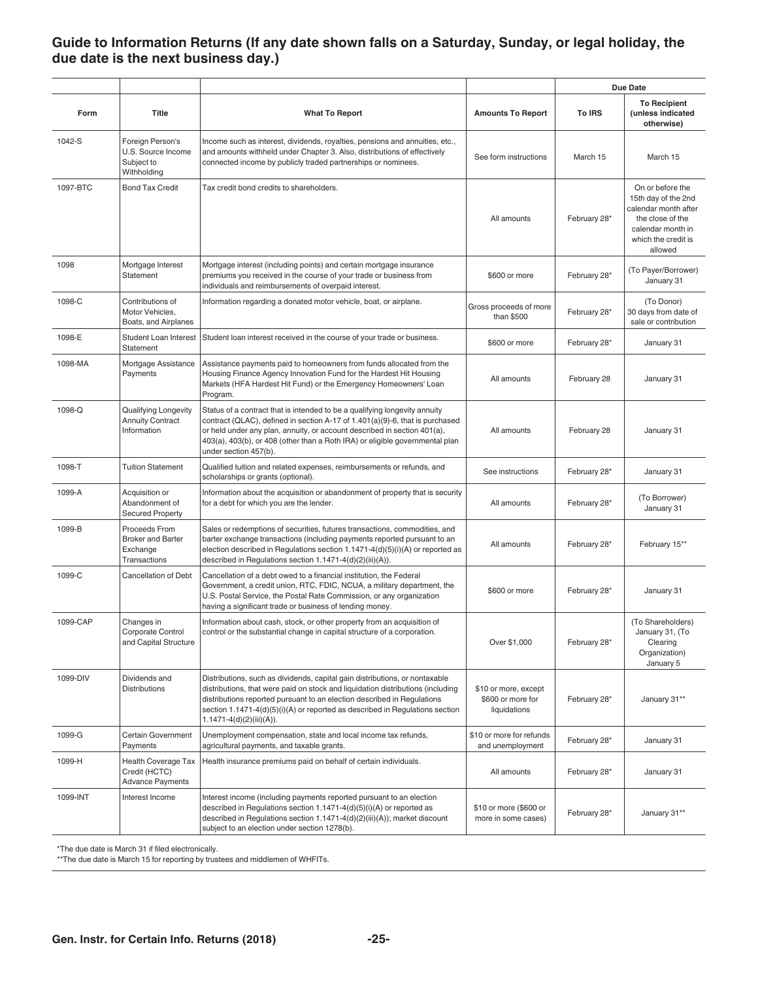### <span id="page-24-0"></span>**Guide to Information Returns (If any date shown falls on a Saturday, Sunday, or legal holiday, the due date is the next business day.)**

|          |                                                                        |                                                                                                                                                                                                                                                                                                                                                       |                                                           |              | Due Date                                                                                                                                   |
|----------|------------------------------------------------------------------------|-------------------------------------------------------------------------------------------------------------------------------------------------------------------------------------------------------------------------------------------------------------------------------------------------------------------------------------------------------|-----------------------------------------------------------|--------------|--------------------------------------------------------------------------------------------------------------------------------------------|
| Form     | Title                                                                  | <b>What To Report</b>                                                                                                                                                                                                                                                                                                                                 | <b>Amounts To Report</b>                                  | To IRS       | <b>To Recipient</b><br>(unless indicated<br>otherwise)                                                                                     |
| 1042-S   | Foreign Person's<br>U.S. Source Income<br>Subject to<br>Withholding    | Income such as interest, dividends, royalties, pensions and annuities, etc.,<br>and amounts withheld under Chapter 3. Also, distributions of effectively<br>connected income by publicly traded partnerships or nominees.                                                                                                                             | See form instructions                                     | March 15     | March 15                                                                                                                                   |
| 1097-BTC | <b>Bond Tax Credit</b>                                                 | Tax credit bond credits to shareholders.                                                                                                                                                                                                                                                                                                              | All amounts                                               | February 28* | On or before the<br>15th day of the 2nd<br>calendar month after<br>the close of the<br>calendar month in<br>which the credit is<br>allowed |
| 1098     | Mortgage Interest<br>Statement                                         | Mortgage interest (including points) and certain mortgage insurance<br>premiums you received in the course of your trade or business from<br>individuals and reimbursements of overpaid interest.                                                                                                                                                     | \$600 or more                                             | February 28* | (To Payer/Borrower)<br>January 31                                                                                                          |
| 1098-C   | Contributions of<br>Motor Vehicles,<br>Boats, and Airplanes            | Information regarding a donated motor vehicle, boat, or airplane.                                                                                                                                                                                                                                                                                     | Gross proceeds of more<br>than \$500                      | February 28* | (To Donor)<br>30 days from date of<br>sale or contribution                                                                                 |
| 1098-E   | Student Loan Interest<br>Statement                                     | Student loan interest received in the course of your trade or business.                                                                                                                                                                                                                                                                               | \$600 or more                                             | February 28* | January 31                                                                                                                                 |
| 1098-MA  | Mortgage Assistance<br>Payments                                        | Assistance payments paid to homeowners from funds allocated from the<br>Housing Finance Agency Innovation Fund for the Hardest Hit Housing<br>Markets (HFA Hardest Hit Fund) or the Emergency Homeowners' Loan<br>Program.                                                                                                                            | All amounts                                               | February 28  | January 31                                                                                                                                 |
| 1098-Q   | Qualifying Longevity<br><b>Annuity Contract</b><br>Information         | Status of a contract that is intended to be a qualifying longevity annuity<br>contract (QLAC), defined in section A-17 of 1.401(a)(9)-6, that is purchased<br>or held under any plan, annuity, or account described in section 401(a),<br>403(a), 403(b), or 408 (other than a Roth IRA) or eligible governmental plan<br>under section 457(b).       | All amounts                                               | February 28  | January 31                                                                                                                                 |
| 1098-T   | <b>Tuition Statement</b>                                               | Qualified tuition and related expenses, reimbursements or refunds, and<br>scholarships or grants (optional).                                                                                                                                                                                                                                          | See instructions                                          | February 28* | January 31                                                                                                                                 |
| 1099-A   | Acquisition or<br>Abandonment of<br><b>Secured Property</b>            | Information about the acquisition or abandonment of property that is security<br>for a debt for which you are the lender.                                                                                                                                                                                                                             | All amounts                                               | February 28* | (To Borrower)<br>January 31                                                                                                                |
| 1099-B   | Proceeds From<br><b>Broker and Barter</b><br>Exchange<br>Transactions  | Sales or redemptions of securities, futures transactions, commodities, and<br>barter exchange transactions (including payments reported pursuant to an<br>election described in Regulations section 1.1471-4(d)(5)(i)(A) or reported as<br>described in Regulations section 1.1471-4(d)(2)(iii)(A)).                                                  | All amounts                                               | February 28* | February 15**                                                                                                                              |
| 1099-C   | <b>Cancellation of Debt</b>                                            | Cancellation of a debt owed to a financial institution, the Federal<br>Government, a credit union, RTC, FDIC, NCUA, a military department, the<br>U.S. Postal Service, the Postal Rate Commission, or any organization<br>having a significant trade or business of lending money.                                                                    | \$600 or more                                             | February 28* | January 31                                                                                                                                 |
| 1099-CAP | Changes in<br>Corporate Control<br>and Capital Structure               | Information about cash, stock, or other property from an acquisition of<br>control or the substantial change in capital structure of a corporation.                                                                                                                                                                                                   | Over \$1,000                                              | February 28* | (To Shareholders)<br>January 31, (To<br>Clearing<br>Organization)<br>January 5                                                             |
| 1099-DIV | Dividends and<br><b>Distributions</b>                                  | Distributions, such as dividends, capital gain distributions, or nontaxable<br>distributions, that were paid on stock and liquidation distributions (including<br>distributions reported pursuant to an election described in Regulations<br>section 1.1471-4(d)(5)(i)(A) or reported as described in Regulations section<br>1.1471-4(d)(2)(iii)(A)). | \$10 or more, except<br>\$600 or more for<br>liquidations | February 28* | January 31**                                                                                                                               |
| 1099-G   | Certain Government<br>Payments                                         | Unemployment compensation, state and local income tax refunds,<br>agricultural payments, and taxable grants.                                                                                                                                                                                                                                          | \$10 or more for refunds<br>and unemployment              | February 28* | January 31                                                                                                                                 |
| 1099-H   | <b>Health Coverage Tax</b><br>Credit (HCTC)<br><b>Advance Payments</b> | Health insurance premiums paid on behalf of certain individuals.                                                                                                                                                                                                                                                                                      | All amounts                                               | February 28* | January 31                                                                                                                                 |
| 1099-INT | Interest Income                                                        | Interest income (including payments reported pursuant to an election<br>described in Regulations section $1.1471-4(d)(5)(i)(A)$ or reported as<br>described in Regulations section 1.1471-4(d)(2)(iii)(A)); market discount<br>subject to an election under section 1278(b).                                                                          | \$10 or more (\$600 or<br>more in some cases)             | February 28* | January 31**                                                                                                                               |

\*The due date is March 31 if filed electronically.

\*\*The due date is March 15 for reporting by trustees and middlemen of WHFITs.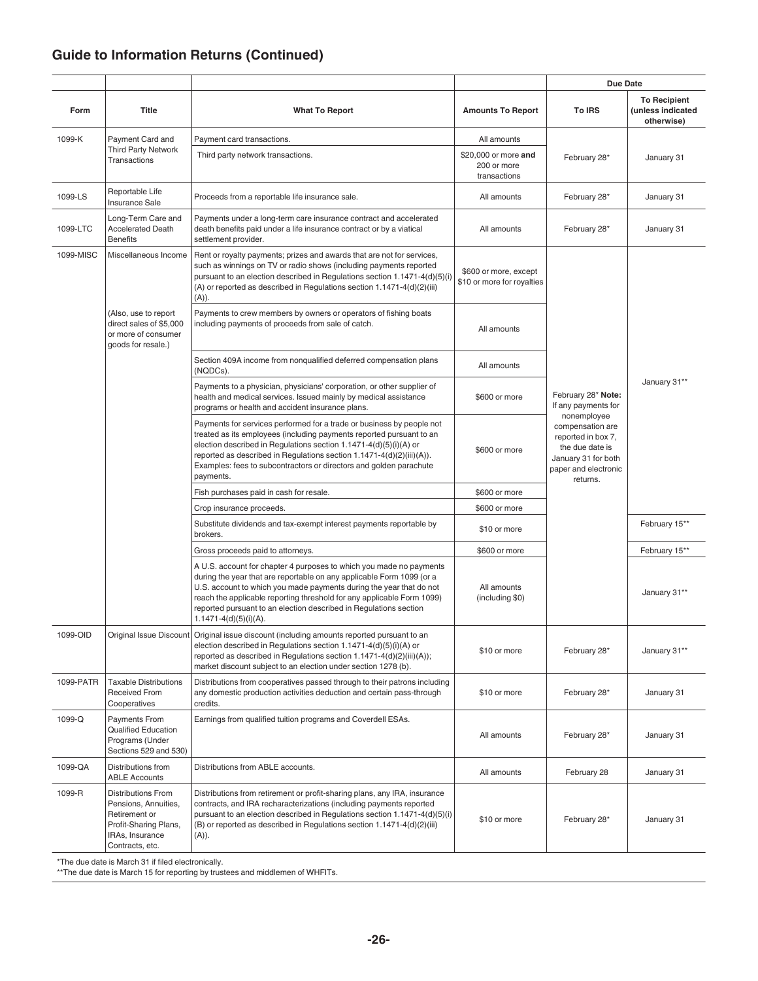## **Guide to Information Returns (Continued)**

|           |                                                                                                                                   |                                                                                                                                                                                                                                                                                                                                                                                                  |                                                     | <b>Due Date</b>                                                                                                                     |                                                        |
|-----------|-----------------------------------------------------------------------------------------------------------------------------------|--------------------------------------------------------------------------------------------------------------------------------------------------------------------------------------------------------------------------------------------------------------------------------------------------------------------------------------------------------------------------------------------------|-----------------------------------------------------|-------------------------------------------------------------------------------------------------------------------------------------|--------------------------------------------------------|
| Form      | <b>Title</b>                                                                                                                      | <b>What To Report</b>                                                                                                                                                                                                                                                                                                                                                                            | <b>Amounts To Report</b>                            | <b>To IRS</b>                                                                                                                       | <b>To Recipient</b><br>(unless indicated<br>otherwise) |
| 1099-K    | Payment Card and                                                                                                                  | Payment card transactions.                                                                                                                                                                                                                                                                                                                                                                       | All amounts                                         |                                                                                                                                     |                                                        |
|           | <b>Third Party Network</b><br><b>Transactions</b>                                                                                 | Third party network transactions.                                                                                                                                                                                                                                                                                                                                                                | \$20,000 or more and<br>200 or more<br>transactions | February 28*                                                                                                                        | January 31                                             |
| 1099-LS   | Reportable Life<br><b>Insurance Sale</b>                                                                                          | Proceeds from a reportable life insurance sale.                                                                                                                                                                                                                                                                                                                                                  | All amounts                                         | February 28*                                                                                                                        | January 31                                             |
| 1099-LTC  | Long-Term Care and<br><b>Accelerated Death</b><br><b>Benefits</b>                                                                 | Payments under a long-term care insurance contract and accelerated<br>death benefits paid under a life insurance contract or by a viatical<br>settlement provider.                                                                                                                                                                                                                               | All amounts                                         | February 28*                                                                                                                        | January 31                                             |
| 1099-MISC | Miscellaneous Income                                                                                                              | Rent or royalty payments; prizes and awards that are not for services,<br>such as winnings on TV or radio shows (including payments reported<br>pursuant to an election described in Regulations section 1.1471-4(d)(5)(i)<br>(A) or reported as described in Regulations section 1.1471-4(d)(2)(iii)<br>(A)).                                                                                   | \$600 or more, except<br>\$10 or more for royalties |                                                                                                                                     |                                                        |
|           | (Also, use to report<br>direct sales of \$5,000<br>or more of consumer<br>goods for resale.)                                      | Payments to crew members by owners or operators of fishing boats<br>including payments of proceeds from sale of catch.                                                                                                                                                                                                                                                                           | All amounts                                         |                                                                                                                                     |                                                        |
|           |                                                                                                                                   | Section 409A income from nonqualified deferred compensation plans<br>(NQDCs).                                                                                                                                                                                                                                                                                                                    | All amounts                                         |                                                                                                                                     |                                                        |
|           |                                                                                                                                   | Payments to a physician, physicians' corporation, or other supplier of<br>health and medical services. Issued mainly by medical assistance<br>programs or health and accident insurance plans.                                                                                                                                                                                                   | \$600 or more                                       | February 28* Note:<br>If any payments for                                                                                           | January 31**                                           |
|           |                                                                                                                                   | Payments for services performed for a trade or business by people not<br>treated as its employees (including payments reported pursuant to an<br>election described in Regulations section 1.1471-4(d)(5)(i)(A) or<br>reported as described in Regulations section 1.1471-4(d)(2)(iii)(A)).<br>Examples: fees to subcontractors or directors and golden parachute<br>payments.                   | \$600 or more                                       | nonemployee<br>compensation are<br>reported in box 7,<br>the due date is<br>January 31 for both<br>paper and electronic<br>returns. |                                                        |
|           |                                                                                                                                   | Fish purchases paid in cash for resale.                                                                                                                                                                                                                                                                                                                                                          | \$600 or more                                       |                                                                                                                                     |                                                        |
|           |                                                                                                                                   | Crop insurance proceeds.                                                                                                                                                                                                                                                                                                                                                                         | \$600 or more                                       |                                                                                                                                     |                                                        |
|           |                                                                                                                                   | Substitute dividends and tax-exempt interest payments reportable by<br>brokers.                                                                                                                                                                                                                                                                                                                  | \$10 or more                                        |                                                                                                                                     | February 15**                                          |
|           |                                                                                                                                   | Gross proceeds paid to attorneys.                                                                                                                                                                                                                                                                                                                                                                | \$600 or more                                       |                                                                                                                                     | February 15**                                          |
|           |                                                                                                                                   | A U.S. account for chapter 4 purposes to which you made no payments<br>during the year that are reportable on any applicable Form 1099 (or a<br>U.S. account to which you made payments during the year that do not<br>reach the applicable reporting threshold for any applicable Form 1099)<br>reported pursuant to an election described in Regulations section<br>$1.1471 - 4(d)(5)(i)(A)$ . | All amounts<br>(including \$0)                      |                                                                                                                                     | January 31**                                           |
| 1099-OID  |                                                                                                                                   | Original Issue Discount   Original issue discount (including amounts reported pursuant to an<br>election described in Regulations section 1.1471-4(d)(5)(i)(A) or<br>reported as described in Regulations section 1.1471-4(d)(2)(iii)(A));<br>market discount subject to an election under section 1278 (b).                                                                                     | \$10 or more                                        | February 28*                                                                                                                        | January 31**                                           |
| 1099-PATR | <b>Taxable Distributions</b><br><b>Received From</b><br>Cooperatives                                                              | Distributions from cooperatives passed through to their patrons including<br>any domestic production activities deduction and certain pass-through<br>credits.                                                                                                                                                                                                                                   | \$10 or more                                        | February 28*                                                                                                                        | January 31                                             |
| 1099-Q    | <b>Payments From</b><br><b>Qualified Education</b><br>Programs (Under<br>Sections 529 and 530)                                    | Earnings from qualified tuition programs and Coverdell ESAs.                                                                                                                                                                                                                                                                                                                                     | All amounts                                         | February 28*                                                                                                                        | January 31                                             |
| 1099-QA   | Distributions from<br><b>ABLE Accounts</b>                                                                                        | Distributions from ABLE accounts.                                                                                                                                                                                                                                                                                                                                                                | All amounts                                         | February 28                                                                                                                         | January 31                                             |
| 1099-R    | <b>Distributions From</b><br>Pensions, Annuities,<br>Retirement or<br>Profit-Sharing Plans,<br>IRAs, Insurance<br>Contracts, etc. | Distributions from retirement or profit-sharing plans, any IRA, insurance<br>contracts, and IRA recharacterizations (including payments reported<br>pursuant to an election described in Regulations section 1.1471-4(d)(5)(i)<br>(B) or reported as described in Regulations section 1.1471-4(d)(2)(iii)<br>(A)).                                                                               | \$10 or more                                        | February 28*                                                                                                                        | January 31                                             |

\*The due date is March 31 if filed electronically.

\*\*The due date is March 15 for reporting by trustees and middlemen of WHFITs.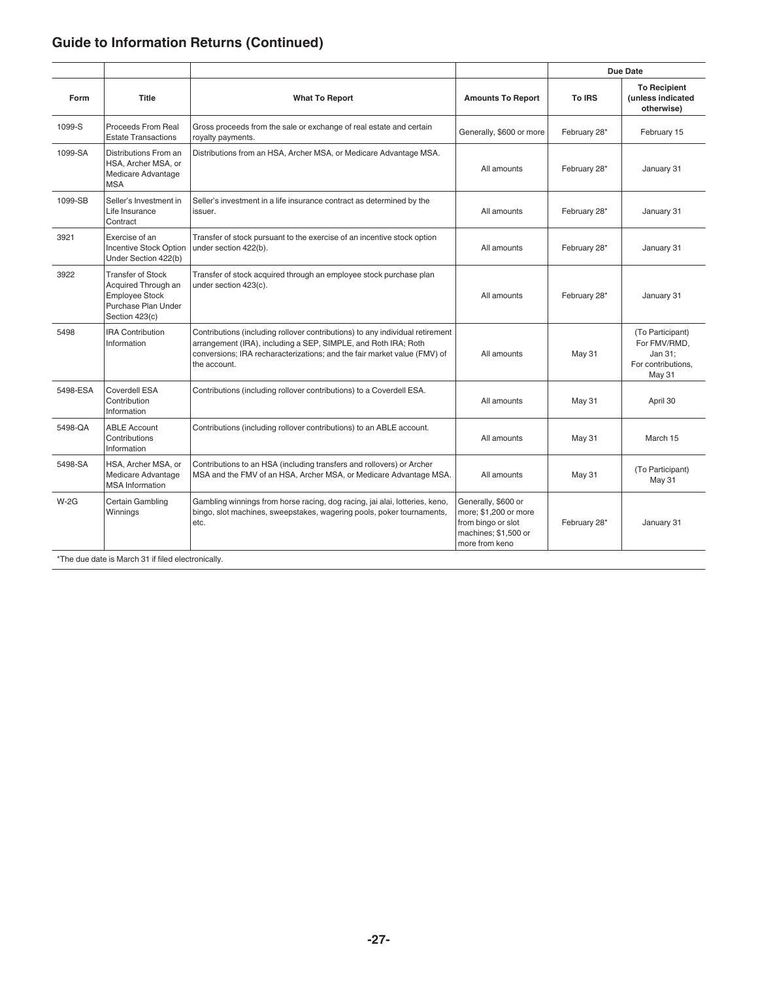# **Guide to Information Returns (Continued)**

|                                                    |                                                                                                                   |                                                                                                                                                                                                                                             |                                                                                                              | <b>Due Date</b> |                                                                                    |
|----------------------------------------------------|-------------------------------------------------------------------------------------------------------------------|---------------------------------------------------------------------------------------------------------------------------------------------------------------------------------------------------------------------------------------------|--------------------------------------------------------------------------------------------------------------|-----------------|------------------------------------------------------------------------------------|
| Form                                               | <b>Title</b>                                                                                                      | <b>What To Report</b>                                                                                                                                                                                                                       | <b>Amounts To Report</b>                                                                                     | To IRS          | <b>To Recipient</b><br>(unless indicated<br>otherwise)                             |
| 1099-S                                             | <b>Proceeds From Real</b><br><b>Estate Transactions</b>                                                           | Gross proceeds from the sale or exchange of real estate and certain<br>royalty payments.                                                                                                                                                    | Generally, \$600 or more                                                                                     | February 28*    | February 15                                                                        |
| 1099-SA                                            | Distributions From an<br>HSA, Archer MSA, or<br>Medicare Advantage<br><b>MSA</b>                                  | Distributions from an HSA, Archer MSA, or Medicare Advantage MSA.                                                                                                                                                                           | All amounts                                                                                                  | February 28*    | January 31                                                                         |
| 1099-SB                                            | Seller's Investment in<br>Life Insurance<br>Contract                                                              | Seller's investment in a life insurance contract as determined by the<br>issuer.                                                                                                                                                            | All amounts                                                                                                  | February 28*    | January 31                                                                         |
| 3921                                               | Exercise of an<br>Incentive Stock Option<br>Under Section 422(b)                                                  | Transfer of stock pursuant to the exercise of an incentive stock option<br>under section 422(b).                                                                                                                                            | All amounts                                                                                                  | February 28*    | January 31                                                                         |
| 3922                                               | <b>Transfer of Stock</b><br>Acquired Through an<br><b>Employee Stock</b><br>Purchase Plan Under<br>Section 423(c) | Transfer of stock acquired through an employee stock purchase plan<br>under section 423(c).                                                                                                                                                 | All amounts                                                                                                  | February 28*    | January 31                                                                         |
| 5498                                               | <b>IRA Contribution</b><br>Information                                                                            | Contributions (including rollover contributions) to any individual retirement<br>arrangement (IRA), including a SEP, SIMPLE, and Roth IRA; Roth<br>conversions; IRA recharacterizations; and the fair market value (FMV) of<br>the account. | All amounts                                                                                                  | <b>May 31</b>   | (To Participant)<br>For FMV/RMD,<br>Jan 31:<br>For contributions.<br><b>May 31</b> |
| 5498-ESA                                           | Coverdell ESA<br>Contribution<br>Information                                                                      | Contributions (including rollover contributions) to a Coverdell ESA.                                                                                                                                                                        | All amounts                                                                                                  | <b>May 31</b>   | April 30                                                                           |
| 5498-QA                                            | <b>ABLE Account</b><br>Contributions<br>Information                                                               | Contributions (including rollover contributions) to an ABLE account.                                                                                                                                                                        | All amounts                                                                                                  | May 31          | March 15                                                                           |
| 5498-SA                                            | HSA, Archer MSA, or<br>Medicare Advantage<br><b>MSA</b> Information                                               | Contributions to an HSA (including transfers and rollovers) or Archer<br>MSA and the FMV of an HSA, Archer MSA, or Medicare Advantage MSA.                                                                                                  | All amounts                                                                                                  | <b>May 31</b>   | (To Participant)<br><b>May 31</b>                                                  |
| $W-2G$                                             | Certain Gambling<br>Winnings                                                                                      | Gambling winnings from horse racing, dog racing, jai alai, lotteries, keno,<br>bingo, slot machines, sweepstakes, wagering pools, poker tournaments,<br>etc.                                                                                | Generally, \$600 or<br>more; \$1,200 or more<br>from bingo or slot<br>machines; \$1,500 or<br>more from keno | February 28*    | January 31                                                                         |
| *The due date is March 31 if filed electronically. |                                                                                                                   |                                                                                                                                                                                                                                             |                                                                                                              |                 |                                                                                    |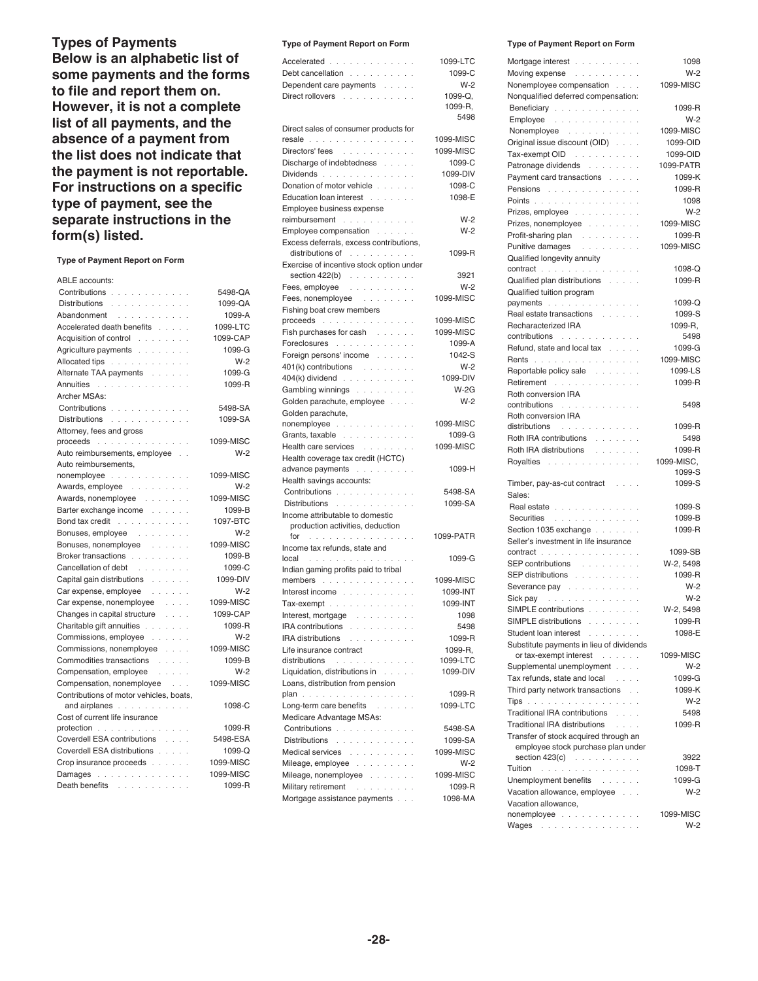**Types of Payments Below is an alphabetic list of some payments and the forms to file and report them on. However, it is not a complete list of all payments, and the absence of a payment from the list does not indicate that the payment is not reportable. For instructions on a specific type of payment, see the separate instructions in the form(s) listed.**

**Type of Payment Report on Form**

| ABLE accounts:                                                 |            |
|----------------------------------------------------------------|------------|
| Contributions                                                  | 5498-QA    |
| Distributions                                                  | 1099-QA    |
| Abandonment                                                    | 1099-A     |
| Accelerated death benefits                                     | 1099-LTC   |
| Acquisition of control                                         | 1099-CAP   |
| Agriculture payments                                           | 1099-G     |
| Allocated tips                                                 | $W-2$      |
| Alternate TAA payments                                         | 1099-G     |
| Annuities                                                      | 1099-R     |
| Archer MSAs:                                                   |            |
| Contributions                                                  | 5498-SA    |
| Distributions                                                  | 1099-SA    |
| Attorney, fees and gross                                       |            |
| proceeds                                                       | 1099-MISC  |
| Auto reimbursements, employee                                  | $W-2$      |
| Auto reimbursements,                                           |            |
| nonemployee                                                    | 1099-MISC  |
| Awards, employee                                               | $W-2$      |
| Awards, nonemployee                                            | 1099-MISC  |
| Barter exchange income                                         | 1099-B     |
| Bond tax credit                                                | 1097-BTC   |
| Bonuses, employee                                              | $W-2$      |
| Bonuses, nonemployee                                           | 1099-MISC  |
| Broker transactions                                            | 1099-B     |
| Cancellation of debt                                           | 1099-C     |
| Capital gain distributions                                     | 1099-DIV   |
| Car expense, employee                                          | $W-2$      |
| Car expense, nonemployee                                       | 1099-MISC  |
| Changes in capital structure<br>$\alpha$ , $\alpha$ , $\alpha$ | 1099-CAP   |
| Charitable gift annuities                                      | 1099-R     |
| Commissions, employee                                          | $W-2$      |
| Commissions, nonemployee                                       | 1099-MISC  |
| Commodities transactions                                       | 1099-B     |
| Compensation, employee                                         | $W-2$      |
| Compensation, nonemployee                                      | 1099-MISC  |
| Contributions of motor vehicles, boats,                        |            |
| and airplanes                                                  | 1098-C     |
| Cost of current life insurance                                 |            |
| protection                                                     | 1099-R     |
| Coverdell ESA contributions                                    | 5498-ESA   |
| Coverdell ESA distributions                                    | $1099 - Q$ |
| Crop insurance proceeds                                        | 1099-MISC  |
| Damages                                                        | 1099-MISC  |
| Death benefits                                                 | 1099-R     |

#### **Type of Payment Report on Form**

| Accelerated                                                                               | 1099-LTC            |
|-------------------------------------------------------------------------------------------|---------------------|
| Debt cancellation                                                                         | 1099-C              |
| Dependent care payments                                                                   | $W-2$               |
| Direct rollovers                                                                          | 1099-Q.             |
|                                                                                           | 1099-R.             |
|                                                                                           | 5498                |
| Direct sales of consumer products for                                                     |                     |
| <b>resale</b>                                                                             | 1099-MISC           |
| Directors' fees<br>Discharge of indebtedness                                              | 1099-MISC<br>1099-C |
| Dividends                                                                                 | 1099-DIV            |
| Donation of motor vehicle<br>J.                                                           | 1098-C              |
| Education loan interest                                                                   | 1098-E              |
| Employee business expense                                                                 |                     |
| reimbursement                                                                             | $W-2$               |
| Employee compensation                                                                     | $W-2$               |
| Excess deferrals, excess contributions,                                                   |                     |
| distributions of with a series of the series of the series of the series of the series of | 1099-R              |
| Exercise of incentive stock option under                                                  |                     |
| section $422(b)$                                                                          | 3921                |
| Fees, employee                                                                            | $W-2$               |
| Fees, nonemployee                                                                         | 1099-MISC           |
| Fishing boat crew members                                                                 |                     |
| $proceeds$                                                                                | 1099-MISC           |
| Fish purchases for cash                                                                   | 1099-MISC           |
| Foreclosures<br>L.                                                                        | 1099-A              |
| Foreign persons' income                                                                   | 1042-S              |
| $401(k)$ contributions                                                                    | $W-2$               |
| $404(k)$ dividend $\ldots$ $\ldots$ $\ldots$<br>l,                                        | 1099-DIV            |
| Gambling winnings                                                                         | $W-2G$              |
| Golden parachute, employee<br>l,                                                          | $W-2$               |
| Golden parachute,                                                                         |                     |
| nonemployee                                                                               | 1099-MISC           |
| Grants, taxable                                                                           | 1099-G              |
| Health care services                                                                      | 1099-MISC           |
| Health coverage tax credit (HCTC)                                                         |                     |
| advance payments                                                                          | 1099-H              |
| Health savings accounts:                                                                  |                     |
| Contributions<br>Distributions                                                            | 5498-SA<br>1099-SA  |
| Income attributable to domestic                                                           |                     |
| production activities, deduction                                                          |                     |
| for<br>.                                                                                  | 1099-PATR           |
| Income tax refunds, state and                                                             |                     |
| $local$                                                                                   | 1099-G              |
| Indian gaming profits paid to tribal                                                      |                     |
| members                                                                                   | 1099-MISC           |
| Interest income                                                                           | 1099-INT            |
| Tax-exempt                                                                                | 1099-INT            |
| Interest, mortgage                                                                        | 1098                |
| IRA contributions                                                                         | 5498                |
| IRA distributions                                                                         | 1099-R              |
| Life insurance contract                                                                   | 1099-R.             |
| distributions                                                                             | 1099-LTC            |
| Liquidation, distributions in                                                             | 1099-DIV            |
| Loans, distribution from pension                                                          |                     |
| plan                                                                                      | 1099-R              |
| Long-term care benefits                                                                   | 1099-LTC            |
| Medicare Advantage MSAs:                                                                  |                     |
| Contributions                                                                             | 5498-SA             |
| Distributions                                                                             | 1099-SA             |
| Medical services                                                                          | 1099-MISC           |
| Mileage, employee                                                                         | $W-2$               |
| Mileage, nonemployee                                                                      | 1099-MISC           |
| Military retirement                                                                       | 1099-R              |
| Mortgage assistance payments                                                              | 1098-MA             |

#### **Type of Payment Report on Form**

| Mortgage interest research and a series of the Mortgage                                                                                                                                                                       | 1098                 |
|-------------------------------------------------------------------------------------------------------------------------------------------------------------------------------------------------------------------------------|----------------------|
| Moving expense $\ldots$                                                                                                                                                                                                       | $W-2$                |
| Nonemployee compensation                                                                                                                                                                                                      | 1099-MISC            |
| Nonqualified deferred compensation:                                                                                                                                                                                           |                      |
| Beneficiary                                                                                                                                                                                                                   | 1099-R<br>$W-2$      |
| Employee<br>Nonemployee                                                                                                                                                                                                       | 1099-MISC            |
| Original issue discount (OID)                                                                                                                                                                                                 | 1099-OID             |
| Tax-exempt OID                                                                                                                                                                                                                | 1099-OID             |
| Patronage dividends                                                                                                                                                                                                           | 1099-PATR            |
| Payment card transactions                                                                                                                                                                                                     | 1099-K               |
| Pensions                                                                                                                                                                                                                      | 1099-R               |
| l,<br>Points                                                                                                                                                                                                                  | 1098                 |
| ï<br>Prizes, employee                                                                                                                                                                                                         | $W-2$                |
| Prizes, nonemployee                                                                                                                                                                                                           | 1099-MISC            |
| Profit-sharing plan                                                                                                                                                                                                           | 1099-R               |
| Punitive damages                                                                                                                                                                                                              | 1099-MISC            |
| Qualified longevity annuity                                                                                                                                                                                                   |                      |
| contract                                                                                                                                                                                                                      | 1098-Q               |
| Qualified plan distributions                                                                                                                                                                                                  | 1099-R               |
| Qualified tuition program                                                                                                                                                                                                     |                      |
| payments                                                                                                                                                                                                                      | 1099-Q               |
| Real estate transactions                                                                                                                                                                                                      | 1099-S               |
| Recharacterized IRA                                                                                                                                                                                                           | 1099-R.              |
| contributions                                                                                                                                                                                                                 | 5498                 |
| Refund, state and local tax                                                                                                                                                                                                   | 1099-G               |
| Rents                                                                                                                                                                                                                         | 1099-MISC            |
| Reportable policy sale                                                                                                                                                                                                        | 1099-LS              |
| Retirement                                                                                                                                                                                                                    | 1099-R               |
| Roth conversion IRA                                                                                                                                                                                                           |                      |
| $contributions$                                                                                                                                                                                                               | 5498                 |
| Roth conversion IRA                                                                                                                                                                                                           |                      |
| distributions and a series of the series of the series of the series of the series of the series of the series                                                                                                                | 1099-R               |
| Roth IRA contributions                                                                                                                                                                                                        | 5498                 |
| Roth IRA distributions                                                                                                                                                                                                        | 1099-R               |
| Royalties                                                                                                                                                                                                                     | 1099-MISC,<br>1099-S |
| Timber, pay-as-cut contract                                                                                                                                                                                                   | 1099-S               |
| Sales:                                                                                                                                                                                                                        |                      |
| Real estate                                                                                                                                                                                                                   | 1099-S               |
| Securities                                                                                                                                                                                                                    | 1099-B               |
| Section 1035 exchange $\ldots$                                                                                                                                                                                                | 1099-R               |
| Seller's investment in life insurance                                                                                                                                                                                         |                      |
| contract                                                                                                                                                                                                                      | 1099-SB              |
| SEP contributions                                                                                                                                                                                                             | W-2, 5498            |
| SEP distributions research and set of the set of the set of the set of the set of the set of the set of the set of the set of the set of the set of the set of the set of the set of the set of the set of the set of the set | 1099-R               |
| Severance pay research and several services                                                                                                                                                                                   | $W-2$                |
| Sick pay $\cdots$                                                                                                                                                                                                             | $W-2$                |
| SIMPLE contributions                                                                                                                                                                                                          | W-2, 5498            |
| SIMPLE distributions                                                                                                                                                                                                          | 1099-R               |
| Student loan interest                                                                                                                                                                                                         | 1098-E               |
| Substitute payments in lieu of dividends                                                                                                                                                                                      |                      |
| or tax-exempt interest                                                                                                                                                                                                        | 1099-MISC            |
| Supplemental unemployment                                                                                                                                                                                                     | $W-2$                |
| Tax refunds, state and local                                                                                                                                                                                                  | 1099-G               |
| Third party network transactions                                                                                                                                                                                              | 1099-K               |
| Tips and an analyzing and a strategies                                                                                                                                                                                        | $W-2$                |
| Traditional IRA contributions                                                                                                                                                                                                 | 5498                 |
| <b>Traditional IRA distributions</b><br>and and                                                                                                                                                                               | 1099-R               |
| Transfer of stock acquired through an                                                                                                                                                                                         |                      |
| employee stock purchase plan under                                                                                                                                                                                            |                      |
| section $423(c)$                                                                                                                                                                                                              | 3922                 |
| Tuition descriptions and a series of the Tui                                                                                                                                                                                  | 1098-T               |
| Unemployment benefits                                                                                                                                                                                                         | 1099-G               |
| Vacation allowance, employee                                                                                                                                                                                                  | $W-2$                |
| Vacation allowance,                                                                                                                                                                                                           |                      |
| nonemployee                                                                                                                                                                                                                   | 1099-MISC            |
| Wages                                                                                                                                                                                                                         | $W-2$                |